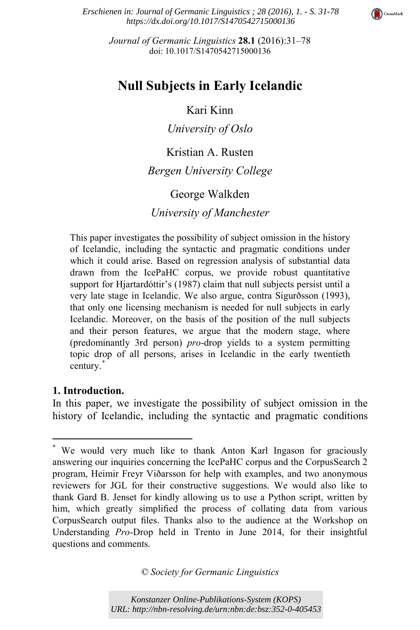

*Erschienen in: Journal of Germanic Linguistics ; 28 (2016), 1. - S. 31-78 https://dx.doi.org/10.1017/S1470542715000136*

> *Journal of Germanic Linguistics* **28.1** (2016):31–78 doi: 10.1017/S1470542715000136

# **Null Subjects in Early Icelandic**

Kari Kinn

*University of Oslo*

## Kristian A. Rusten *Bergen University College*

### George Walkden

### *University of Manchester*

This paper investigates the possibility of subject omission in the history of Icelandic, including the syntactic and pragmatic conditions under which it could arise. Based on regression analysis of substantial data drawn from the IcePaHC corpus, we provide robust quantitative support for Hjartardóttir's (1987) claim that null subjects persist until a very late stage in Icelandic. We also argue, contra Sigurðsson (1993), that only one licensing mechanism is needed for null subjects in early Icelandic. Moreover, on the basis of the position of the null subjects and their person features, we argue that the modern stage, where (predominantly 3rd person) *pro*-drop yields to a system permitting topic drop of all persons, arises in Icelandic in the early twentieth century.\*

#### **1. Introduction.**

 $\overline{\phantom{a}}$ 

In this paper, we investigate the possibility of subject omission in the history of Icelandic, including the syntactic and pragmatic conditions

*© Society for Germanic Linguistics*

<sup>\*</sup> We would very much like to thank Anton Karl Ingason for graciously answering our inquiries concerning the IcePaHC corpus and the CorpusSearch 2 program, Heimir Freyr Viðarsson for help with examples, and two anonymous reviewers for JGL for their constructive suggestions. We would also like to thank Gard B. Jenset for kindly allowing us to use a Python script, written by him, which greatly simplified the process of collating data from various CorpusSearch output files. Thanks also to the audience at the Workshop on Understanding *Pro*-Drop held in Trento in June 2014, for their insightful questions and comments.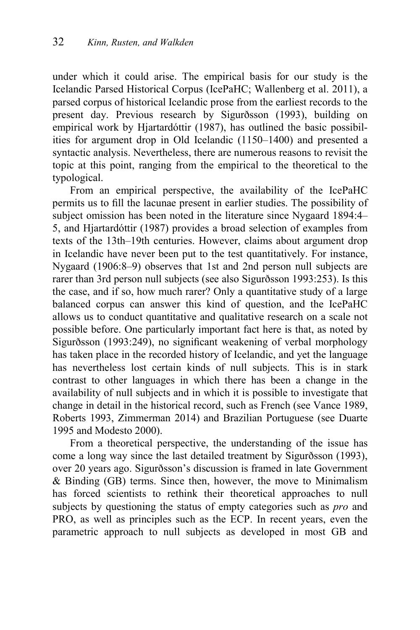under which it could arise. The empirical basis for our study is the Icelandic Parsed Historical Corpus (IcePaHC; Wallenberg et al. 2011), a parsed corpus of historical Icelandic prose from the earliest records to the present day. Previous research by Sigurðsson (1993), building on empirical work by Hjartardóttir (1987), has outlined the basic possibilities for argument drop in Old Icelandic (1150–1400) and presented a syntactic analysis. Nevertheless, there are numerous reasons to revisit the topic at this point, ranging from the empirical to the theoretical to the typological.

From an empirical perspective, the availability of the IcePaHC permits us to fill the lacunae present in earlier studies. The possibility of subject omission has been noted in the literature since Nygaard 1894:4– 5, and Hjartardóttir (1987) provides a broad selection of examples from texts of the 13th–19th centuries. However, claims about argument drop in Icelandic have never been put to the test quantitatively. For instance, Nygaard (1906:8–9) observes that 1st and 2nd person null subjects are rarer than 3rd person null subjects (see also Sigurðsson 1993:253). Is this the case, and if so, how much rarer? Only a quantitative study of a large balanced corpus can answer this kind of question, and the IcePaHC allows us to conduct quantitative and qualitative research on a scale not possible before. One particularly important fact here is that, as noted by Sigurðsson (1993:249), no significant weakening of verbal morphology has taken place in the recorded history of Icelandic, and yet the language has nevertheless lost certain kinds of null subjects. This is in stark contrast to other languages in which there has been a change in the availability of null subjects and in which it is possible to investigate that change in detail in the historical record, such as French (see Vance 1989, Roberts 1993, Zimmerman 2014) and Brazilian Portuguese (see Duarte 1995 and Modesto 2000).

From a theoretical perspective, the understanding of the issue has come a long way since the last detailed treatment by Sigurðsson (1993), over 20 years ago. Sigurðsson's discussion is framed in late Government & Binding (GB) terms. Since then, however, the move to Minimalism has forced scientists to rethink their theoretical approaches to null subjects by questioning the status of empty categories such as *pro* and PRO, as well as principles such as the ECP. In recent years, even the parametric approach to null subjects as developed in most GB and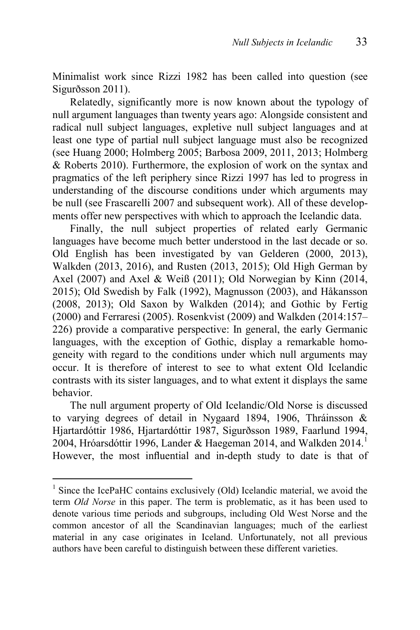Minimalist work since Rizzi 1982 has been called into question (see Sigurðsson 2011).

Relatedly, significantly more is now known about the typology of null argument languages than twenty years ago: Alongside consistent and radical null subject languages, expletive null subject languages and at least one type of partial null subject language must also be recognized (see Huang 2000; Holmberg 2005; Barbosa 2009, 2011, 2013; Holmberg & Roberts 2010). Furthermore, the explosion of work on the syntax and pragmatics of the left periphery since Rizzi 1997 has led to progress in understanding of the discourse conditions under which arguments may be null (see Frascarelli 2007 and subsequent work). All of these developments offer new perspectives with which to approach the Icelandic data.

Finally, the null subject properties of related early Germanic languages have become much better understood in the last decade or so. Old English has been investigated by van Gelderen (2000, 2013), Walkden (2013, 2016), and Rusten (2013, 2015); Old High German by Axel (2007) and Axel & Weiß (2011); Old Norwegian by Kinn (2014, 2015); Old Swedish by Falk (1992), Magnusson (2003), and Håkansson (2008, 2013); Old Saxon by Walkden (2014); and Gothic by Fertig (2000) and Ferraresi (2005). Rosenkvist (2009) and Walkden (2014:157– 226) provide a comparative perspective: In general, the early Germanic languages, with the exception of Gothic, display a remarkable homogeneity with regard to the conditions under which null arguments may occur. It is therefore of interest to see to what extent Old Icelandic contrasts with its sister languages, and to what extent it displays the same behavior.

The null argument property of Old Icelandic/Old Norse is discussed to varying degrees of detail in Nygaard 1894, 1906, Thráinsson & Hjartardóttir 1986, Hjartardóttir 1987, Sigurðsson 1989, Faarlund 1994, 2004, Hróarsdóttir 1996, Lander & Haegeman 2014, and Walkden 2014.<sup>1</sup> However, the most influential and in-depth study to date is that of

1

<sup>&</sup>lt;sup>1</sup> Since the IcePaHC contains exclusively (Old) Icelandic material, we avoid the term *Old Norse* in this paper. The term is problematic, as it has been used to denote various time periods and subgroups, including Old West Norse and the common ancestor of all the Scandinavian languages; much of the earliest material in any case originates in Iceland. Unfortunately, not all previous authors have been careful to distinguish between these different varieties.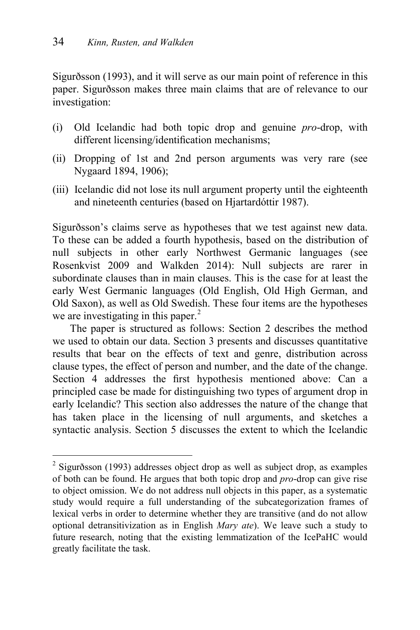$\overline{a}$ 

Sigurðsson (1993), and it will serve as our main point of reference in this paper. Sigurðsson makes three main claims that are of relevance to our investigation:

- (i) Old Icelandic had both topic drop and genuine *pro*-drop, with different licensing/identification mechanisms;
- (ii) Dropping of 1st and 2nd person arguments was very rare (see Nygaard 1894, 1906);
- (iii) Icelandic did not lose its null argument property until the eighteenth and nineteenth centuries (based on Hjartardóttir 1987).

Sigurðsson's claims serve as hypotheses that we test against new data. To these can be added a fourth hypothesis, based on the distribution of null subjects in other early Northwest Germanic languages (see Rosenkvist 2009 and Walkden 2014): Null subjects are rarer in subordinate clauses than in main clauses. This is the case for at least the early West Germanic languages (Old English, Old High German, and Old Saxon), as well as Old Swedish. These four items are the hypotheses we are investigating in this paper. $<sup>2</sup>$ </sup>

The paper is structured as follows: Section 2 describes the method we used to obtain our data. Section 3 presents and discusses quantitative results that bear on the effects of text and genre, distribution across clause types, the effect of person and number, and the date of the change. Section 4 addresses the first hypothesis mentioned above: Can a principled case be made for distinguishing two types of argument drop in early Icelandic? This section also addresses the nature of the change that has taken place in the licensing of null arguments, and sketches a syntactic analysis. Section 5 discusses the extent to which the Icelandic

<sup>2</sup> Sigurðsson (1993) addresses object drop as well as subject drop, as examples of both can be found. He argues that both topic drop and *pro*-drop can give rise to object omission. We do not address null objects in this paper, as a systematic study would require a full understanding of the subcategorization frames of lexical verbs in order to determine whether they are transitive (and do not allow optional detransitivization as in English *Mary ate*). We leave such a study to future research, noting that the existing lemmatization of the IcePaHC would greatly facilitate the task.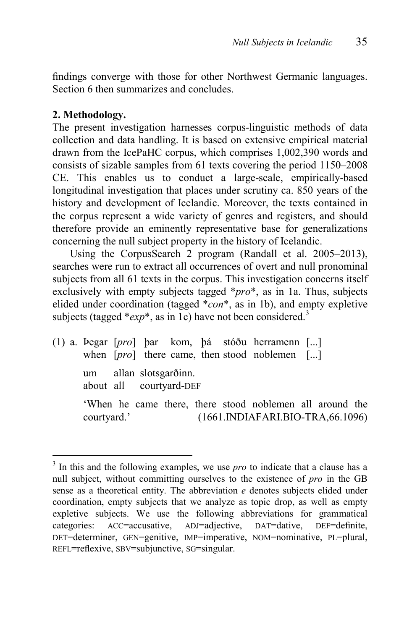findings converge with those for other Northwest Germanic languages. Section 6 then summarizes and concludes.

### **2. Methodology.**

1

The present investigation harnesses corpus-linguistic methods of data collection and data handling. It is based on extensive empirical material drawn from the IcePaHC corpus, which comprises 1,002,390 words and consists of sizable samples from 61 texts covering the period 1150–2008 CE. This enables us to conduct a large-scale, empirically-based longitudinal investigation that places under scrutiny ca. 850 years of the history and development of Icelandic. Moreover, the texts contained in the corpus represent a wide variety of genres and registers, and should therefore provide an eminently representative base for generalizations concerning the null subject property in the history of Icelandic.

Using the CorpusSearch 2 program (Randall et al. 2005–2013), searches were run to extract all occurrences of overt and null pronominal subjects from all 61 texts in the corpus. This investigation concerns itself exclusively with empty subjects tagged \**pro*\*, as in 1a. Thus, subjects elided under coordination (tagged \**con*\*, as in 1b), and empty expletive subjects (tagged  $*exp*$ , as in 1c) have not been considered.<sup>3</sup>

(1) a. Þegar [*pro*] þar kom, þá stóðu herramenn [...] when [*pro*] there came, then stood noblemen [...] um allan slotsgarðinn. about all courtyard-DEF 'When he came there, there stood noblemen all around the courtyard.' (1661.INDIAFARI.BIO-TRA,66.1096)

<sup>&</sup>lt;sup>3</sup> In this and the following examples, we use *pro* to indicate that a clause has a null subject, without committing ourselves to the existence of *pro* in the GB sense as a theoretical entity. The abbreviation *e* denotes subjects elided under coordination, empty subjects that we analyze as topic drop, as well as empty expletive subjects. We use the following abbreviations for grammatical categories: ACC=accusative, ADJ=adjective, DAT=dative, DEF=definite, DET=determiner, GEN=genitive, IMP=imperative, NOM=nominative, PL=plural, REFL=reflexive, SBV=subjunctive, SG=singular.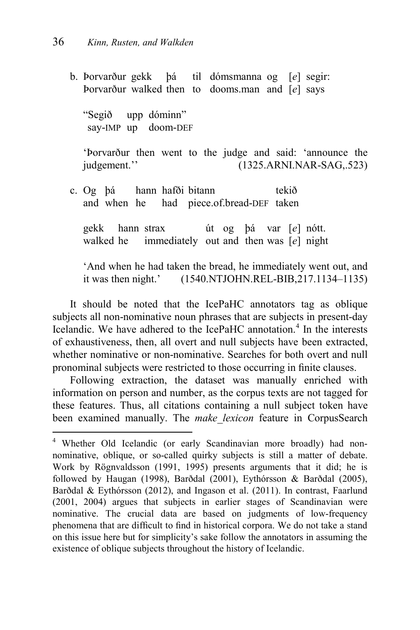$\overline{a}$ 

b. Þorvarður gekk þá til dómsmanna og [*e*] segir: Þorvarður walked then to dooms.man and [*e*] says "Segið upp dóminn" say-IMP up doom-DEF 'Þorvarður then went to the judge and said: 'announce the judgement.'' (1325.ARNI.NAR-SAG,.523) c. Og þá hann hafði bitann tekið and when he had piece.of.bread-DEF taken

gekk hann strax út og þá var [*e*] nótt. walked he immediately out and then was [*e*] night

'And when he had taken the bread, he immediately went out, and it was then night.' (1540.NTJOHN.REL-BIB,217.1134–1135)

It should be noted that the IcePaHC annotators tag as oblique subjects all non-nominative noun phrases that are subjects in present-day Icelandic. We have adhered to the IcePaHC annotation.<sup>4</sup> In the interests of exhaustiveness, then, all overt and null subjects have been extracted, whether nominative or non-nominative. Searches for both overt and null pronominal subjects were restricted to those occurring in finite clauses.

Following extraction, the dataset was manually enriched with information on person and number, as the corpus texts are not tagged for these features. Thus, all citations containing a null subject token have been examined manually. The *make\_lexicon* feature in CorpusSearch

<sup>&</sup>lt;sup>4</sup> Whether Old Icelandic (or early Scandinavian more broadly) had nonnominative, oblique, or so-called quirky subjects is still a matter of debate. Work by Rögnvaldsson (1991, 1995) presents arguments that it did; he is followed by Haugan (1998), Barðdal (2001), Eythórsson & Barðdal (2005), Barðdal & Eythórsson (2012), and Ingason et al. (2011). In contrast, Faarlund (2001, 2004) argues that subjects in earlier stages of Scandinavian were nominative. The crucial data are based on judgments of low-frequency phenomena that are difficult to find in historical corpora. We do not take a stand on this issue here but for simplicity's sake follow the annotators in assuming the existence of oblique subjects throughout the history of Icelandic.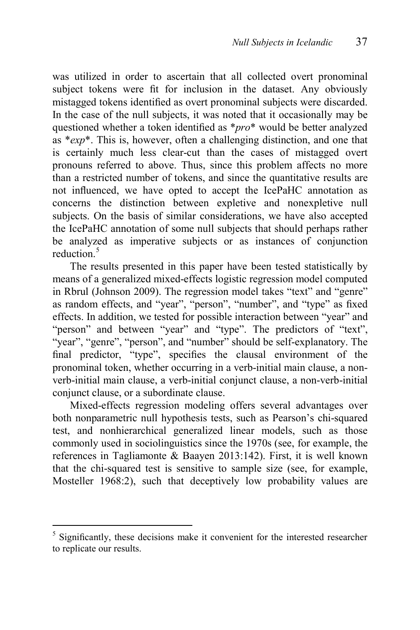was utilized in order to ascertain that all collected overt pronominal subject tokens were fit for inclusion in the dataset. Any obviously mistagged tokens identified as overt pronominal subjects were discarded. In the case of the null subjects, it was noted that it occasionally may be questioned whether a token identified as \**pro*\* would be better analyzed as \**exp*\*. This is, however, often a challenging distinction, and one that is certainly much less clear-cut than the cases of mistagged overt pronouns referred to above. Thus, since this problem affects no more than a restricted number of tokens, and since the quantitative results are not influenced, we have opted to accept the IcePaHC annotation as concerns the distinction between expletive and nonexpletive null subjects. On the basis of similar considerations, we have also accepted the IcePaHC annotation of some null subjects that should perhaps rather be analyzed as imperative subjects or as instances of conjunction reduction.<sup>5</sup>

The results presented in this paper have been tested statistically by means of a generalized mixed-effects logistic regression model computed in Rbrul (Johnson 2009). The regression model takes "text" and "genre" as random effects, and "year", "person", "number", and "type" as fixed effects. In addition, we tested for possible interaction between "year" and "person" and between "year" and "type". The predictors of "text", "year", "genre", "person", and "number" should be self-explanatory. The final predictor, "type", specifies the clausal environment of the pronominal token, whether occurring in a verb-initial main clause, a nonverb-initial main clause, a verb-initial conjunct clause, a non-verb-initial conjunct clause, or a subordinate clause.

Mixed-effects regression modeling offers several advantages over both nonparametric null hypothesis tests, such as Pearson's chi-squared test, and nonhierarchical generalized linear models, such as those commonly used in sociolinguistics since the 1970s (see, for example, the references in Tagliamonte & Baayen 2013:142). First, it is well known that the chi-squared test is sensitive to sample size (see, for example, Mosteller 1968:2), such that deceptively low probability values are

1

 $5$  Significantly, these decisions make it convenient for the interested researcher to replicate our results.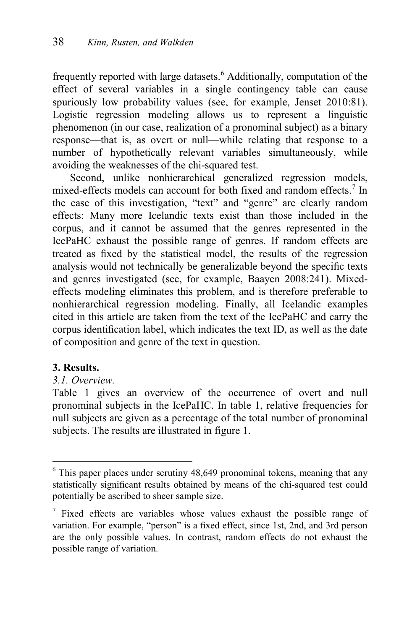frequently reported with large datasets.<sup>6</sup> Additionally, computation of the effect of several variables in a single contingency table can cause spuriously low probability values (see, for example, Jenset 2010:81). Logistic regression modeling allows us to represent a linguistic phenomenon (in our case, realization of a pronominal subject) as a binary response—that is, as overt or null—while relating that response to a number of hypothetically relevant variables simultaneously, while avoiding the weaknesses of the chi-squared test.

Second, unlike nonhierarchical generalized regression models, mixed-effects models can account for both fixed and random effects.<sup>7</sup> In the case of this investigation, "text" and "genre" are clearly random effects: Many more Icelandic texts exist than those included in the corpus, and it cannot be assumed that the genres represented in the IcePaHC exhaust the possible range of genres. If random effects are treated as fixed by the statistical model, the results of the regression analysis would not technically be generalizable beyond the specific texts and genres investigated (see, for example, Baayen 2008:241). Mixedeffects modeling eliminates this problem, and is therefore preferable to nonhierarchical regression modeling. Finally, all Icelandic examples cited in this article are taken from the text of the IcePaHC and carry the corpus identification label, which indicates the text ID, as well as the date of composition and genre of the text in question.

### **3. Results.**

 $\overline{a}$ 

#### *3.1. Overview.*

Table 1 gives an overview of the occurrence of overt and null pronominal subjects in the IcePaHC. In table 1, relative frequencies for null subjects are given as a percentage of the total number of pronominal subjects. The results are illustrated in figure 1.

 $6$  This paper places under scrutiny 48,649 pronominal tokens, meaning that any statistically significant results obtained by means of the chi-squared test could potentially be ascribed to sheer sample size.

 $\frac{7}{1}$  Fixed effects are variables whose values exhaust the possible range of variation. For example, "person" is a fixed effect, since 1st, 2nd, and 3rd person are the only possible values. In contrast, random effects do not exhaust the possible range of variation.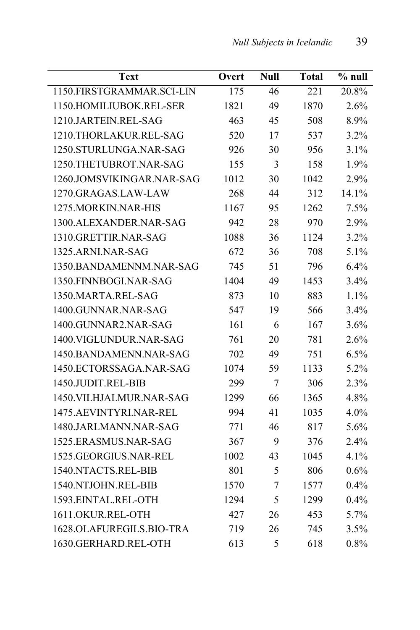| Text                      | Overt | <b>Null</b>    | <b>Total</b> | $%$ null |
|---------------------------|-------|----------------|--------------|----------|
| 1150.FIRSTGRAMMAR.SCI-LIN | 175   | 46             | 221          | 20.8%    |
| 1150.HOMILIUBOK.REL-SER   | 1821  | 49             | 1870         | 2.6%     |
| 1210.JARTEIN.REL-SAG      | 463   | 45             | 508          | 8.9%     |
| 1210.THORLAKUR.REL-SAG    | 520   | 17             | 537          | 3.2%     |
| 1250.STURLUNGA.NAR-SAG    | 926   | 30             | 956          | 3.1%     |
| 1250.THETUBROT.NAR-SAG    | 155   | 3              | 158          | 1.9%     |
| 1260.JOMSVIKINGAR.NAR-SAG | 1012  | 30             | 1042         | 2.9%     |
| 1270.GRAGAS.LAW-LAW       | 268   | 44             | 312          | 14.1%    |
| 1275. MORKIN. NAR-HIS     | 1167  | 95             | 1262         | 7.5%     |
| 1300.ALEXANDER.NAR-SAG    | 942   | 28             | 970          | 2.9%     |
| 1310.GRETTIR.NAR-SAG      | 1088  | 36             | 1124         | 3.2%     |
| 1325.ARNI.NAR-SAG         | 672   | 36             | 708          | 5.1%     |
| 1350.BANDAMENNM.NAR-SAG   | 745   | 51             | 796          | 6.4%     |
| 1350.FINNBOGI.NAR-SAG     | 1404  | 49             | 1453         | 3.4%     |
| 1350.MARTA.REL-SAG        | 873   | 10             | 883          | 1.1%     |
| 1400.GUNNAR.NAR-SAG       | 547   | 19             | 566          | 3.4%     |
| 1400.GUNNAR2.NAR-SAG      | 161   | 6              | 167          | 3.6%     |
| 1400.VIGLUNDUR.NAR-SAG    | 761   | 20             | 781          | 2.6%     |
| 1450.BANDAMENN.NAR-SAG    | 702   | 49             | 751          | 6.5%     |
| 1450.ECTORSSAGA.NAR-SAG   | 1074  | 59             | 1133         | 5.2%     |
| 1450.JUDIT.REL-BIB        | 299   | $\overline{7}$ | 306          | 2.3%     |
| 1450. VILHJALMUR.NAR-SAG  | 1299  | 66             | 1365         | 4.8%     |
| 1475.AEVINTYRI.NAR-REL    | 994   | 41             | 1035         | 4.0%     |
| 1480.JARLMANN.NAR-SAG     | 771   | 46             | 817          | 5.6%     |
| 1525.ERASMUS.NAR-SAG      | 367   | 9              | 376          | 2.4%     |
| 1525.GEORGIUS.NAR-REL     | 1002  | 43             | 1045         | 4.1%     |
| 1540.NTACTS.REL-BIB       | 801   | 5              | 806          | 0.6%     |
| 1540.NTJOHN.REL-BIB       | 1570  | 7              | 1577         | 0.4%     |
| 1593.EINTAL.REL-OTH       | 1294  | 5              | 1299         | 0.4%     |
| 1611.OKUR.REL-OTH         | 427   | 26             | 453          | 5.7%     |
| 1628.OLAFUREGILS.BIO-TRA  | 719   | 26             | 745          | 3.5%     |
| 1630.GERHARD.REL-OTH      | 613   | 5              | 618          | 0.8%     |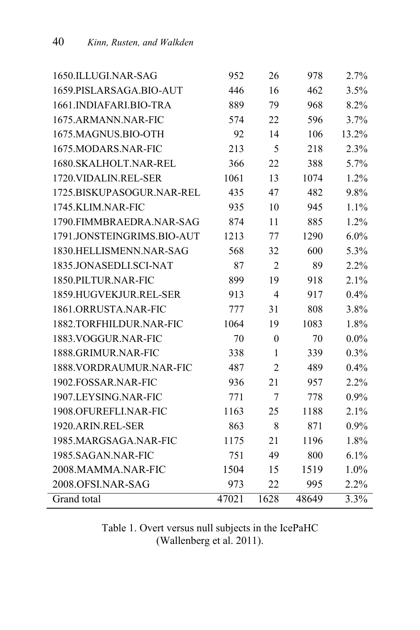| 1650.ILLUGI.NAR-SAG        | 952   | 26               | 978   | 2.7%    |
|----------------------------|-------|------------------|-------|---------|
| 1659.PISLARSAGA.BIO-AUT    | 446   | 16               | 462   | 3.5%    |
| 1661.INDIAFARI.BIO-TRA     | 889   | 79               | 968   | 8.2%    |
| 1675.ARMANN.NAR-FIC        | 574   | 22               | 596   | 3.7%    |
| 1675.MAGNUS.BIO-OTH        | 92    | 14               | 106   | 13.2%   |
| 1675.MODARS.NAR-FIC        | 213   | 5                | 218   | 2.3%    |
| 1680.SKALHOLT.NAR-REL      | 366   | 22               | 388   | 5.7%    |
| 1720. VIDALIN.REL-SER      | 1061  | 13               | 1074  | 1.2%    |
| 1725.BISKUPASOGUR.NAR-REL  | 435   | 47               | 482   | 9.8%    |
| 1745.KLIM.NAR-FIC          | 935   | 10               | 945   | $1.1\%$ |
| 1790.FIMMBRAEDRA.NAR-SAG   | 874   | 11               | 885   | 1.2%    |
| 1791.JONSTEINGRIMS.BIO-AUT | 1213  | 77               | 1290  | $6.0\%$ |
| 1830.HELLISMENN.NAR-SAG    | 568   | 32               | 600   | 5.3%    |
| 1835.JONASEDLI.SCI-NAT     | 87    | $\overline{2}$   | 89    | 2.2%    |
| 1850.PILTUR.NAR-FIC        | 899   | 19               | 918   | 2.1%    |
| 1859.HUGVEKJUR.REL-SER     | 913   | $\overline{4}$   | 917   | 0.4%    |
| 1861.ORRUSTA.NAR-FIC       | 777   | 31               | 808   | 3.8%    |
| 1882.TORFHILDUR.NAR-FIC    | 1064  | 19               | 1083  | 1.8%    |
| 1883. VOGGUR.NAR-FIC       | 70    | $\boldsymbol{0}$ | 70    | $0.0\%$ |
| 1888.GRIMUR.NAR-FIC        | 338   | 1                | 339   | 0.3%    |
| 1888.VORDRAUMUR.NAR-FIC    | 487   | $\overline{2}$   | 489   | $0.4\%$ |
| 1902.FOSSAR.NAR-FIC        | 936   | 21               | 957   | $2.2\%$ |
| 1907.LEYSING.NAR-FIC       | 771   | 7                | 778   | 0.9%    |
| 1908.OFUREFLI.NAR-FIC      | 1163  | 25               | 1188  | 2.1%    |
| 1920.ARIN.REL-SER          | 863   | 8                | 871   | 0.9%    |
| 1985.MARGSAGA.NAR-FIC      | 1175  | 21               | 1196  | 1.8%    |
| 1985.SAGAN.NAR-FIC         | 751   | 49               | 800   | 6.1%    |
| 2008.MAMMA.NAR-FIC         | 1504  | 15               | 1519  | 1.0%    |
| 2008.OFSI.NAR-SAG          | 973   | 22               | 995   | 2.2%    |
| Grand total                | 47021 | 1628             | 48649 | 3.3%    |

Table 1. Overt versus null subjects in the IcePaHC (Wallenberg et al. 2011).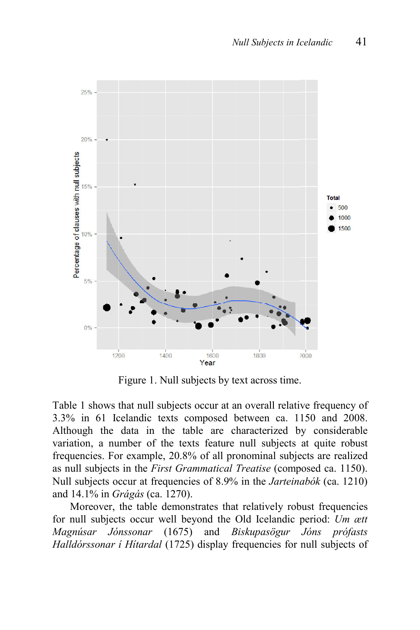

Figure 1. Null subjects by text across time.

Table 1 shows that null subjects occur at an overall relative frequency of 3.3% in 61 Icelandic texts composed between ca. 1150 and 2008. Although the data in the table are characterized by considerable variation, a number of the texts feature null subjects at quite robust frequencies. For example, 20.8% of all pronominal subjects are realized as null subjects in the *First Grammatical Treatise* (composed ca. 1150). Null subjects occur at frequencies of 8.9% in the *Jarteinabók* (ca. 1210) and 14.1% in *Grágás* (ca. 1270).

Moreover, the table demonstrates that relatively robust frequencies for null subjects occur well beyond the Old Icelandic period: *Um ætt Magnúsar Jónssonar* (1675) and *Biskupasögur Jóns prófasts Halldórssonar í Hítardal* (1725) display frequencies for null subjects of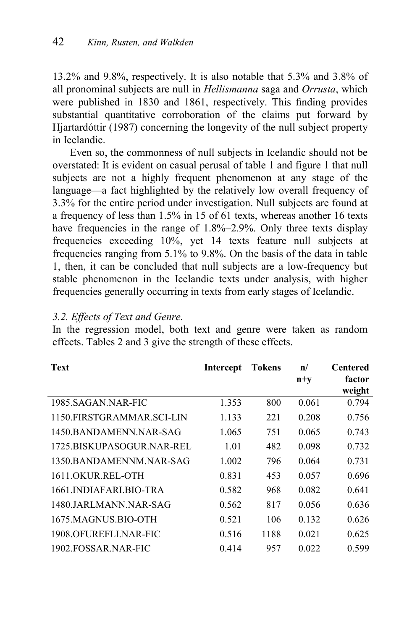13.2% and 9.8%, respectively. It is also notable that 5.3% and 3.8% of all pronominal subjects are null in *Hellismanna* saga and *Orrusta*, which were published in 1830 and 1861, respectively. This finding provides substantial quantitative corroboration of the claims put forward by Hjartardóttir (1987) concerning the longevity of the null subject property in Icelandic.

Even so, the commonness of null subjects in Icelandic should not be overstated: It is evident on casual perusal of table 1 and figure 1 that null subjects are not a highly frequent phenomenon at any stage of the language—a fact highlighted by the relatively low overall frequency of 3.3% for the entire period under investigation. Null subjects are found at a frequency of less than 1.5% in 15 of 61 texts, whereas another 16 texts have frequencies in the range of 1.8%–2.9%. Only three texts display frequencies exceeding 10%, yet 14 texts feature null subjects at frequencies ranging from 5.1% to 9.8%. On the basis of the data in table 1, then, it can be concluded that null subjects are a low-frequency but stable phenomenon in the Icelandic texts under analysis, with higher frequencies generally occurring in texts from early stages of Icelandic.

### *3.2. Effects of Text and Genre.* In the regression model, both text and genre were taken as random effects. Tables 2 and 3 give the strength of these effects.

| <b>Text</b>               | <b>Intercept</b> | <b>Tokens</b> | $\mathbf{n}/$ | Centered |
|---------------------------|------------------|---------------|---------------|----------|
|                           |                  |               | $n+v$         | factor   |
|                           |                  |               |               | weight   |
| 1985. SAGAN NAR-FIC       | 1.353            | 800           | 0.061         | 0.794    |
| 1150 FIRSTGRAMMAR SCI-LIN | 1.133            | 221           | 0.208         | 0.756    |
| 1450 BANDAMENN NAR-SAG    | 1.065            | 751           | 0.065         | 0.743    |
| 1725 BISKUPASOGUR NAR-REL | 1.01             | 482           | 0.098         | 0.732    |
| 1350 BANDAMENNM NAR-SAG   | 1.002            | 796           | 0.064         | 0.731    |
| 1611.OKUR.REL-OTH         | 0.831            | 453           | 0.057         | 0.696    |
| 1661.INDIAFARLBIO-TRA     | 0.582            | 968           | 0.082         | 0.641    |
| 1480.JARLMANN.NAR-SAG     | 0.562            | 817           | 0.056         | 0.636    |
| 1675 MAGNUS BIO-OTH       | 0.521            | 106           | 0.132         | 0.626    |
| 1908 OFUREFLUNAR-FIC      | 0.516            | 1188          | 0.021         | 0.625    |
| 1902 FOSSAR NAR-FIC       | 0.414            | 957           | 0.022         | 0.599    |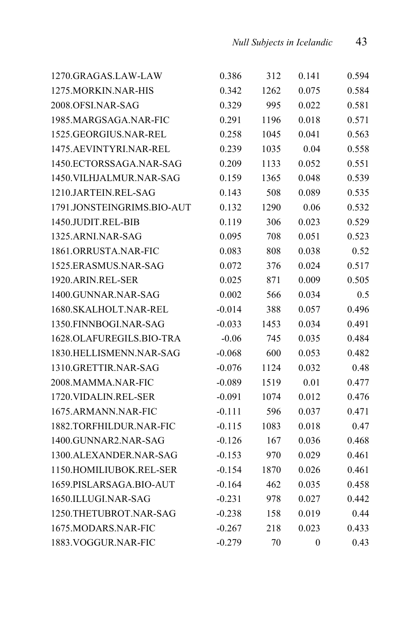| 1270.GRAGAS.LAW-LAW        | 0.386    | 312  | 0.141 | 0.594 |
|----------------------------|----------|------|-------|-------|
| 1275.MORKIN.NAR-HIS        | 0.342    | 1262 | 0.075 | 0.584 |
| 2008.OFSI.NAR-SAG          | 0.329    | 995  | 0.022 | 0.581 |
| 1985.MARGSAGA.NAR-FIC      | 0.291    | 1196 | 0.018 | 0.571 |
| 1525.GEORGIUS.NAR-REL      | 0.258    | 1045 | 0.041 | 0.563 |
| 1475.AEVINTYRI.NAR-REL     | 0.239    | 1035 | 0.04  | 0.558 |
| 1450.ECTORSSAGA.NAR-SAG    | 0.209    | 1133 | 0.052 | 0.551 |
| 1450. VILHJALMUR.NAR-SAG   | 0.159    | 1365 | 0.048 | 0.539 |
| 1210.JARTEIN.REL-SAG       | 0.143    | 508  | 0.089 | 0.535 |
| 1791.JONSTEINGRIMS.BIO-AUT | 0.132    | 1290 | 0.06  | 0.532 |
| 1450.JUDIT.REL-BIB         | 0.119    | 306  | 0.023 | 0.529 |
| 1325.ARNI.NAR-SAG          | 0.095    | 708  | 0.051 | 0.523 |
| 1861.ORRUSTA.NAR-FIC       | 0.083    | 808  | 0.038 | 0.52  |
| 1525.ERASMUS.NAR-SAG       | 0.072    | 376  | 0.024 | 0.517 |
| 1920.ARIN.REL-SER          | 0.025    | 871  | 0.009 | 0.505 |
| 1400.GUNNAR.NAR-SAG        | 0.002    | 566  | 0.034 | 0.5   |
| 1680.SKALHOLT.NAR-REL      | $-0.014$ | 388  | 0.057 | 0.496 |
| 1350.FINNBOGI.NAR-SAG      | $-0.033$ | 1453 | 0.034 | 0.491 |
| 1628.OLAFUREGILS.BIO-TRA   | $-0.06$  | 745  | 0.035 | 0.484 |
| 1830.HELLISMENN.NAR-SAG    | $-0.068$ | 600  | 0.053 | 0.482 |
| 1310.GRETTIR.NAR-SAG       | $-0.076$ | 1124 | 0.032 | 0.48  |
| 2008.MAMMA.NAR-FIC         | $-0.089$ | 1519 | 0.01  | 0.477 |
| 1720. VIDALIN.REL-SER      | $-0.091$ | 1074 | 0.012 | 0.476 |
| 1675.ARMANN.NAR-FIC        | $-0.111$ | 596  | 0.037 | 0.471 |
| 1882.TORFHILDUR.NAR-FIC    | $-0.115$ | 1083 | 0.018 | 0.47  |
| 1400.GUNNAR2.NAR-SAG       | $-0.126$ | 167  | 0.036 | 0.468 |
| 1300.ALEXANDER.NAR-SAG     | $-0.153$ | 970  | 0.029 | 0.461 |
| 1150.HOMILIUBOK.REL-SER    | $-0.154$ | 1870 | 0.026 | 0.461 |
| 1659.PISLARSAGA.BIO-AUT    | $-0.164$ | 462  | 0.035 | 0.458 |
| 1650.ILLUGI.NAR-SAG        | $-0.231$ | 978  | 0.027 | 0.442 |
| 1250.THETUBROT.NAR-SAG     | $-0.238$ | 158  | 0.019 | 0.44  |
| 1675.MODARS.NAR-FIC        | $-0.267$ | 218  | 0.023 | 0.433 |
| 1883. VOGGUR.NAR-FIC       | $-0.279$ | 70   | 0     | 0.43  |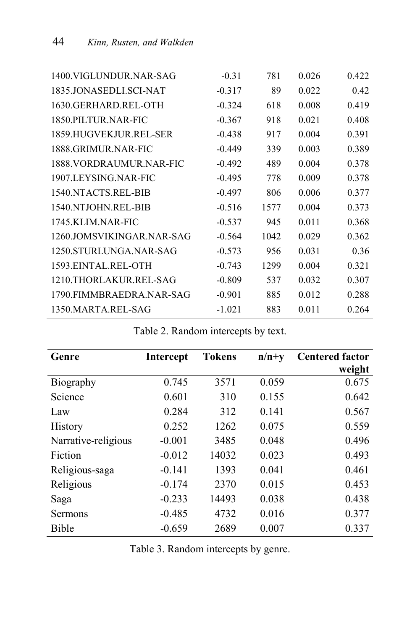| 1400.VIGLUNDUR.NAR-SAG    | $-0.31$  | 781  | 0.026 | 0.422 |
|---------------------------|----------|------|-------|-------|
| 1835.JONASEDLI.SCI-NAT    | $-0.317$ | 89   | 0.022 | 0.42  |
| 1630.GERHARD.REL-OTH      | $-0.324$ | 618  | 0.008 | 0.419 |
| 1850.PILTUR.NAR-FIC       | $-0.367$ | 918  | 0.021 | 0.408 |
| 1859.HUGVEKJUR.REL-SER    | $-0.438$ | 917  | 0.004 | 0.391 |
| 1888 GRIMUR NAR-FIC       | $-0.449$ | 339  | 0.003 | 0.389 |
| 1888. VORDRAUMUR. NAR-FIC | $-0.492$ | 489  | 0.004 | 0.378 |
| 1907.LEYSING.NAR-FIC      | $-0.495$ | 778  | 0.009 | 0.378 |
| 1540 NTACTS REL-BIB       | $-0.497$ | 806  | 0.006 | 0.377 |
| 1540 NTJOHN REL-BIB       | $-0.516$ | 1577 | 0.004 | 0.373 |
| 1745 KLIM NAR-FIC         | $-0.537$ | 945  | 0.011 | 0.368 |
| 1260.JOMSVIKINGAR.NAR-SAG | $-0.564$ | 1042 | 0.029 | 0.362 |
| 1250.STURLUNGA.NAR-SAG    | $-0.573$ | 956  | 0.031 | 0.36  |
| 1593.EINTAL.REL-OTH       | $-0.743$ | 1299 | 0.004 | 0.321 |
| 1210.THORLAKUR.REL-SAG    | $-0.809$ | 537  | 0.032 | 0.307 |
| 1790.FIMMBRAEDRA.NAR-SAG  | $-0.901$ | 885  | 0.012 | 0.288 |
| 1350.MARTA.REL-SAG        | $-1.021$ | 883  | 0.011 | 0.264 |

| Genre               | <b>Intercept</b> | <b>Tokens</b> | $n/n+y$ | <b>Centered factor</b> |
|---------------------|------------------|---------------|---------|------------------------|
|                     |                  |               |         | weight                 |
| Biography           | 0.745            | 3571          | 0.059   | 0.675                  |
| Science             | 0.601            | 310           | 0.155   | 0.642                  |
| Law                 | 0.284            | 312           | 0.141   | 0.567                  |
| History             | 0.252            | 1262          | 0.075   | 0.559                  |
| Narrative-religious | $-0.001$         | 3485          | 0.048   | 0.496                  |
| Fiction             | $-0.012$         | 14032         | 0.023   | 0.493                  |
| Religious-saga      | $-0.141$         | 1393          | 0.041   | 0.461                  |
| Religious           | $-0.174$         | 2370          | 0.015   | 0.453                  |
| Saga                | $-0.233$         | 14493         | 0.038   | 0.438                  |
| Sermons             | $-0.485$         | 4732          | 0.016   | 0.377                  |
| Bible               | $-0.659$         | 2689          | 0.007   | 0.337                  |

Table 2. Random intercepts by text.

Table 3. Random intercepts by genre.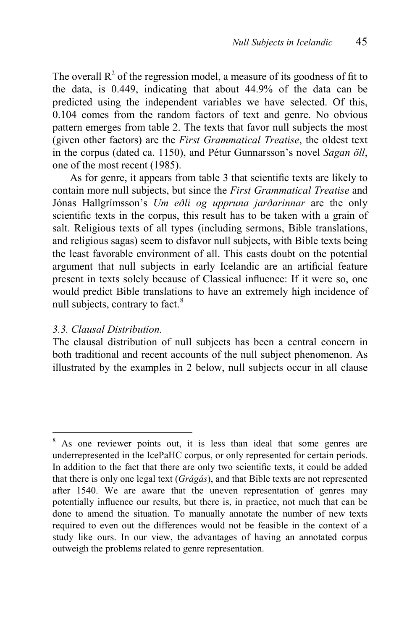The overall  $R^2$  of the regression model, a measure of its goodness of fit to the data, is 0.449, indicating that about 44.9% of the data can be predicted using the independent variables we have selected. Of this, 0.104 comes from the random factors of text and genre. No obvious pattern emerges from table 2. The texts that favor null subjects the most (given other factors) are the *First Grammatical Treatise*, the oldest text in the corpus (dated ca. 1150), and Pétur Gunnarsson's novel *Sagan öll*, one of the most recent (1985).

As for genre, it appears from table 3 that scientific texts are likely to contain more null subjects, but since the *First Grammatical Treatise* and Jónas Hallgrímsson's *Um eðli og uppruna jarðarinnar* are the only scientific texts in the corpus, this result has to be taken with a grain of salt. Religious texts of all types (including sermons, Bible translations, and religious sagas) seem to disfavor null subjects, with Bible texts being the least favorable environment of all. This casts doubt on the potential argument that null subjects in early Icelandic are an artificial feature present in texts solely because of Classical influence: If it were so, one would predict Bible translations to have an extremely high incidence of null subjects, contrary to fact.<sup>8</sup>

#### *3.3. Clausal Distribution.*

 $\overline{a}$ 

The clausal distribution of null subjects has been a central concern in both traditional and recent accounts of the null subject phenomenon. As illustrated by the examples in 2 below, null subjects occur in all clause

As one reviewer points out, it is less than ideal that some genres are underrepresented in the IcePaHC corpus, or only represented for certain periods. In addition to the fact that there are only two scientific texts, it could be added that there is only one legal text (*Grágás*), and that Bible texts are not represented after 1540. We are aware that the uneven representation of genres may potentially influence our results, but there is, in practice, not much that can be done to amend the situation. To manually annotate the number of new texts required to even out the differences would not be feasible in the context of a study like ours. In our view, the advantages of having an annotated corpus outweigh the problems related to genre representation.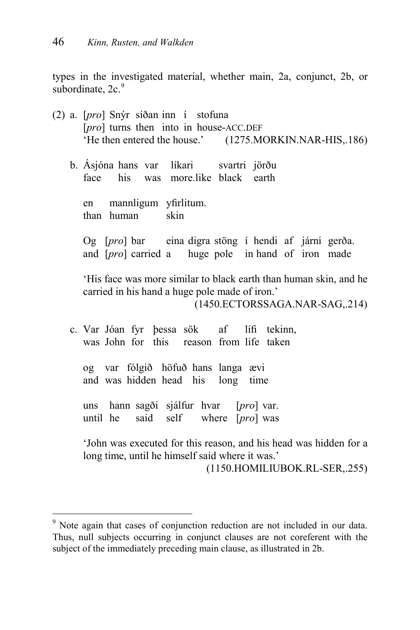types in the investigated material, whether main, 2a, conjunct, 2b, or subordinate,  $2c<sup>9</sup>$ 

- (2) a. [*pro*] Snýr síðan inn í stofuna [*pro*] turns then into in house-ACC.DEF 'He then entered the house.' (1275.MORKIN.NAR-HIS,.186)
	- b. Ásjóna hans var líkari svartri jörðu face his was more.like black earth

en mannligum yfirlitum. than human skin

Og [*pro*] bar eina digra stöng í hendi af járni gerða. and [*pro*] carried a huge pole in hand of iron made

'His face was more similar to black earth than human skin, and he carried in his hand a huge pole made of iron.'

(1450.ECTORSSAGA.NAR-SAG,.214)

c. Var Jóan fyr þessa sök af lífi tekinn, was John for this reason from life taken

og var fólgið höfuð hans langa ævi and was hidden head his long time

uns hann sagði sjálfur hvar [*pro*] var. until he said self where [*pro*] was

 $\overline{a}$ 

'John was executed for this reason, and his head was hidden for a long time, until he himself said where it was.' (1150.HOMILIUBOK.RL-SER,.255)

<sup>&</sup>lt;sup>9</sup> Note again that cases of conjunction reduction are not included in our data. Thus, null subjects occurring in conjunct clauses are not coreferent with the subject of the immediately preceding main clause, as illustrated in 2b.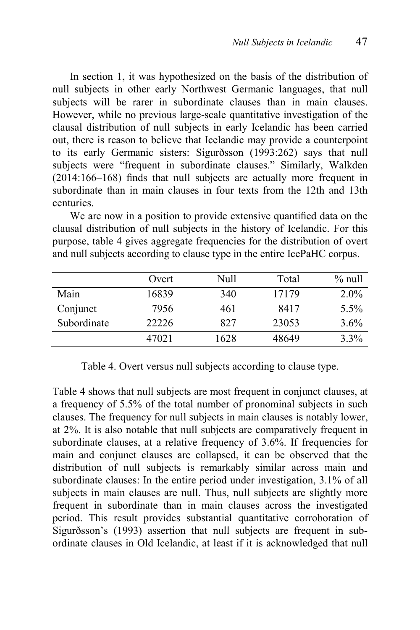In section 1, it was hypothesized on the basis of the distribution of null subjects in other early Northwest Germanic languages, that null subjects will be rarer in subordinate clauses than in main clauses. However, while no previous large-scale quantitative investigation of the clausal distribution of null subjects in early Icelandic has been carried out, there is reason to believe that Icelandic may provide a counterpoint to its early Germanic sisters: Sigurðsson (1993:262) says that null subjects were "frequent in subordinate clauses." Similarly, Walkden  $(2014:166-168)$  finds that null subjects are actually more frequent in subordinate than in main clauses in four texts from the 12th and 13th centuries.

We are now in a position to provide extensive quantified data on the clausal distribution of null subjects in the history of Icelandic. For this purpose, table 4 gives aggregate frequencies for the distribution of overt and null subjects according to clause type in the entire IcePaHC corpus.

|             | Overt | Null | Total | $%$ null |
|-------------|-------|------|-------|----------|
| Main        | 16839 | 340  | 17179 | $2.0\%$  |
| Conjunct    | 7956  | 461  | 8417  | $5.5\%$  |
| Subordinate | 22226 | 827  | 23053 | $3.6\%$  |
|             | 47021 | 1628 | 48649 | 3.3%     |

Table 4. Overt versus null subjects according to clause type.

Table 4 shows that null subjects are most frequent in conjunct clauses, at a frequency of 5.5% of the total number of pronominal subjects in such clauses. The frequency for null subjects in main clauses is notably lower, at 2%. It is also notable that null subjects are comparatively frequent in subordinate clauses, at a relative frequency of 3.6%. If frequencies for main and conjunct clauses are collapsed, it can be observed that the distribution of null subjects is remarkably similar across main and subordinate clauses: In the entire period under investigation, 3.1% of all subjects in main clauses are null. Thus, null subjects are slightly more frequent in subordinate than in main clauses across the investigated period. This result provides substantial quantitative corroboration of Sigurðsson's (1993) assertion that null subjects are frequent in subordinate clauses in Old Icelandic, at least if it is acknowledged that null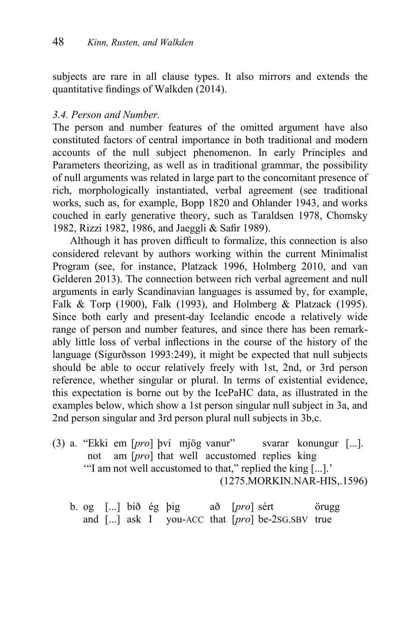subjects are rare in all clause types. It also mirrors and extends the quantitative findings of Walkden  $(2014)$ .

### *3.4. Person and Number.*

The person and number features of the omitted argument have also constituted factors of central importance in both traditional and modern accounts of the null subject phenomenon. In early Principles and Parameters theorizing, as well as in traditional grammar, the possibility of null arguments was related in large part to the concomitant presence of rich, morphologically instantiated, verbal agreement (see traditional works, such as, for example, Bopp 1820 and Ohlander 1943, and works couched in early generative theory, such as Taraldsen 1978, Chomsky 1982, Rizzi 1982, 1986, and Jaeggli & Safir 1989).

Although it has proven difficult to formalize, this connection is also considered relevant by authors working within the current Minimalist Program (see, for instance, Platzack 1996, Holmberg 2010, and van Gelderen 2013). The connection between rich verbal agreement and null arguments in early Scandinavian languages is assumed by, for example, Falk & Torp (1900), Falk (1993), and Holmberg & Platzack (1995). Since both early and present-day Icelandic encode a relatively wide range of person and number features, and since there has been remarkably little loss of verbal inflections in the course of the history of the language (Sigurðsson 1993:249), it might be expected that null subjects should be able to occur relatively freely with 1st, 2nd, or 3rd person reference, whether singular or plural. In terms of existential evidence, this expectation is borne out by the IcePaHC data, as illustrated in the examples below, which show a 1st person singular null subject in 3a, and 2nd person singular and 3rd person plural null subjects in 3b,c.

- (3) a. "Ekki em [*pro*] því mjög vanur" svarar konungur [...]. not am [*pro*] that well accustomed replies king '"I am not well accustomed to that," replied the king [...].' (1275.MORKIN.NAR-HIS,.1596)
	- b. og [...] bið ég þig að [*pro*] sért örugg and [...] ask I you-ACC that [*pro*] be-2SG.SBV true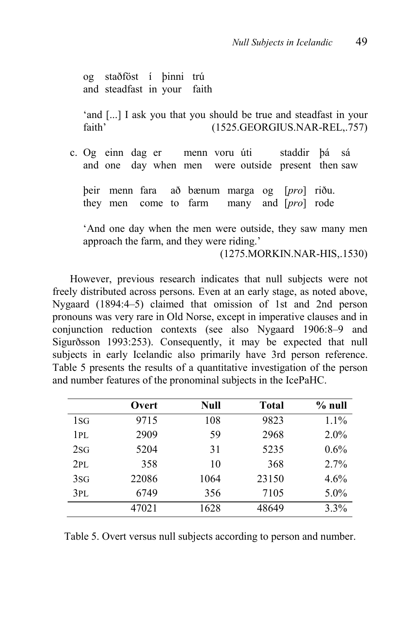og staðföst í þinni trú and steadfast in your faith

'and [...] I ask you that you should be true and steadfast in your faith' (1525.GEORGIUS.NAR-REL,.757)

c. Og einn dag er menn voru úti staddir þá sá and one day when men were outside present then saw

þeir menn fara að bænum marga og [*pro*] riðu. they men come to farm many and [*pro*] rode

'And one day when the men were outside, they saw many men approach the farm, and they were riding.'

(1275.MORKIN.NAR-HIS,.1530)

However, previous research indicates that null subjects were not freely distributed across persons. Even at an early stage, as noted above, Nygaard (1894:4–5) claimed that omission of 1st and 2nd person pronouns was very rare in Old Norse, except in imperative clauses and in conjunction reduction contexts (see also Nygaard 1906:8–9 and Sigurðsson 1993:253). Consequently, it may be expected that null subjects in early Icelandic also primarily have 3rd person reference. Table 5 presents the results of a quantitative investigation of the person and number features of the pronominal subjects in the IcePaHC.

|                 | Overt | <b>Null</b> | <b>Total</b> | $%$ null |
|-----------------|-------|-------------|--------------|----------|
| 1 <sub>SG</sub> | 9715  | 108         | 9823         | 1.1%     |
| 1PL             | 2909  | 59          | 2968         | $2.0\%$  |
| 2SG             | 5204  | 31          | 5235         | 0.6%     |
| 2PI.            | 358   | 10          | 368          | 2.7%     |
| 3SG             | 22086 | 1064        | 23150        | 4.6%     |
| 3PL             | 6749  | 356         | 7105         | 5.0%     |
|                 | 47021 | 1628        | 48649        | 3.3%     |

Table 5. Overt versus null subjects according to person and number.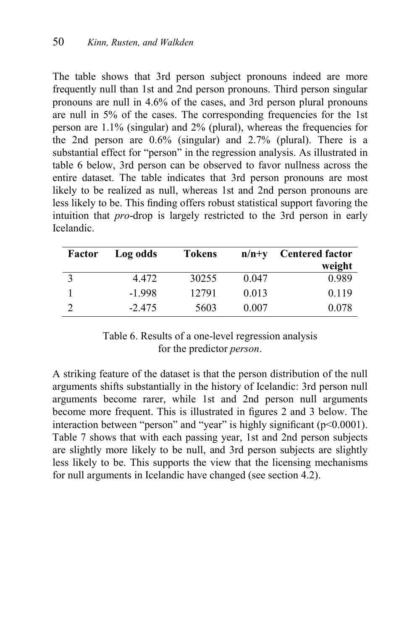The table shows that 3rd person subject pronouns indeed are more frequently null than 1st and 2nd person pronouns. Third person singular pronouns are null in 4.6% of the cases, and 3rd person plural pronouns are null in 5% of the cases. The corresponding frequencies for the 1st person are 1.1% (singular) and 2% (plural), whereas the frequencies for the 2nd person are 0.6% (singular) and 2.7% (plural). There is a substantial effect for "person" in the regression analysis. As illustrated in table 6 below, 3rd person can be observed to favor nullness across the entire dataset. The table indicates that 3rd person pronouns are most likely to be realized as null, whereas 1st and 2nd person pronouns are less likely to be. This finding offers robust statistical support favoring the intuition that *pro*-drop is largely restricted to the 3rd person in early Icelandic.

| Factor | Log odds | <b>Tokens</b> | $n/n+y$ | <b>Centered factor</b> |
|--------|----------|---------------|---------|------------------------|
|        |          |               |         | weight                 |
|        | 4.472    | 30255         | 0.047   | 0.989                  |
|        | $-1998$  | 12791         | 0.013   | 0.119                  |
|        | $-2.475$ | 5603          | 0.007   | 0.078                  |

### Table 6. Results of a one-level regression analysis for the predictor *person*.

A striking feature of the dataset is that the person distribution of the null arguments shifts substantially in the history of Icelandic: 3rd person null arguments become rarer, while 1st and 2nd person null arguments become more frequent. This is illustrated in figures 2 and 3 below. The interaction between "person" and "year" is highly significant  $(p<0.0001)$ . Table 7 shows that with each passing year, 1st and 2nd person subjects are slightly more likely to be null, and 3rd person subjects are slightly less likely to be. This supports the view that the licensing mechanisms for null arguments in Icelandic have changed (see section 4.2).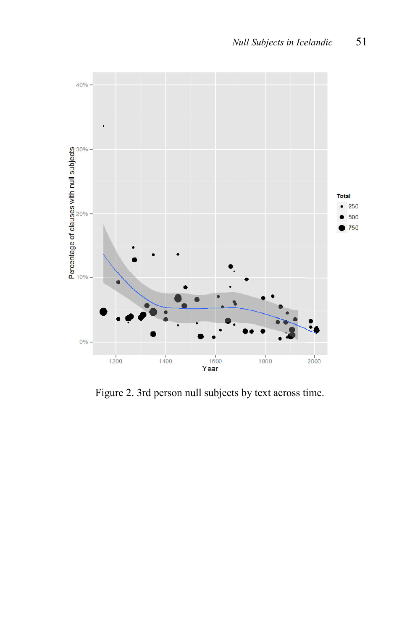

Figure 2. 3rd person null subjects by text across time.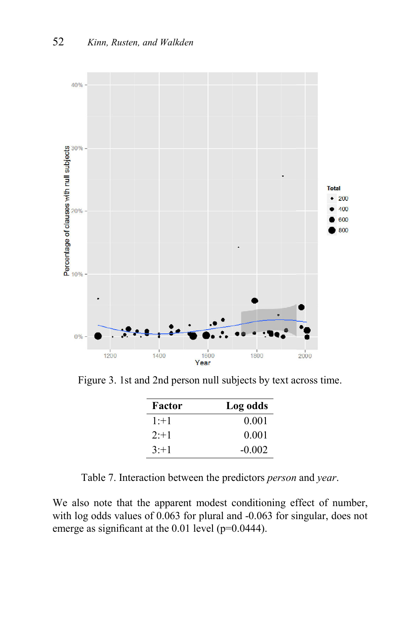

Figure 3. 1st and 2nd person null subjects by text across time.

| Factor | Log odds |
|--------|----------|
| $1+1$  | 0.001    |
| $2+1$  | 0.001    |
| $3+1$  | $-0.002$ |

Table 7. Interaction between the predictors *person* and *year*.

We also note that the apparent modest conditioning effect of number, with log odds values of 0.063 for plural and -0.063 for singular, does not emerge as significant at the  $0.01$  level (p= $0.0444$ ).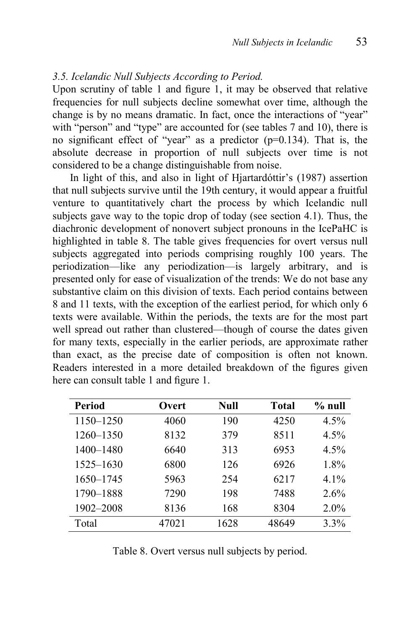#### *3.5. Icelandic Null Subjects According to Period.*

Upon scrutiny of table 1 and figure 1, it may be observed that relative frequencies for null subjects decline somewhat over time, although the change is by no means dramatic. In fact, once the interactions of "year" with "person" and "type" are accounted for (see tables 7 and 10), there is no significant effect of "year" as a predictor  $(p=0.134)$ . That is, the absolute decrease in proportion of null subjects over time is not considered to be a change distinguishable from noise.

In light of this, and also in light of Hjartardóttir's (1987) assertion that null subjects survive until the 19th century, it would appear a fruitful venture to quantitatively chart the process by which Icelandic null subjects gave way to the topic drop of today (see section 4.1). Thus, the diachronic development of nonovert subject pronouns in the IcePaHC is highlighted in table 8. The table gives frequencies for overt versus null subjects aggregated into periods comprising roughly 100 years. The periodization—like any periodization—is largely arbitrary, and is presented only for ease of visualization of the trends: We do not base any substantive claim on this division of texts. Each period contains between 8 and 11 texts, with the exception of the earliest period, for which only 6 texts were available. Within the periods, the texts are for the most part well spread out rather than clustered—though of course the dates given for many texts, especially in the earlier periods, are approximate rather than exact, as the precise date of composition is often not known. Readers interested in a more detailed breakdown of the figures given here can consult table 1 and figure 1.

| Period    | Overt | Null | Total | % null  |
|-----------|-------|------|-------|---------|
| 1150-1250 | 4060  | 190  | 4250  | 4.5%    |
| 1260-1350 | 8132  | 379  | 8511  | $4.5\%$ |
| 1400-1480 | 6640  | 313  | 6953  | $4.5\%$ |
| 1525–1630 | 6800  | 126  | 6926  | 1.8%    |
| 1650-1745 | 5963  | 254  | 6217  | $4.1\%$ |
| 1790-1888 | 7290  | 198  | 7488  | 2.6%    |
| 1902-2008 | 8136  | 168  | 8304  | $2.0\%$ |
| Total     | 47021 | 1628 | 48649 | 3.3%    |

Table 8. Overt versus null subjects by period.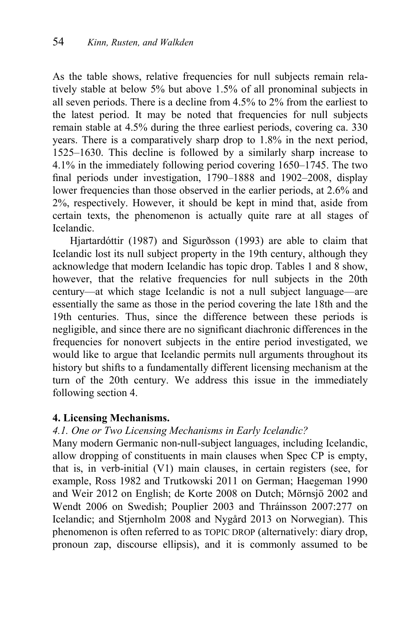As the table shows, relative frequencies for null subjects remain relatively stable at below 5% but above 1.5% of all pronominal subjects in all seven periods. There is a decline from 4.5% to 2% from the earliest to the latest period. It may be noted that frequencies for null subjects remain stable at 4.5% during the three earliest periods, covering ca. 330 years. There is a comparatively sharp drop to 1.8% in the next period, 1525–1630. This decline is followed by a similarly sharp increase to 4.1% in the immediately following period covering 1650–1745. The two final periods under investigation,  $1790-1888$  and  $1902-2008$ , display lower frequencies than those observed in the earlier periods, at 2.6% and 2%, respectively. However, it should be kept in mind that, aside from certain texts, the phenomenon is actually quite rare at all stages of Icelandic.

Hjartardóttir (1987) and Sigurðsson (1993) are able to claim that Icelandic lost its null subject property in the 19th century, although they acknowledge that modern Icelandic has topic drop. Tables 1 and 8 show, however, that the relative frequencies for null subjects in the 20th century—at which stage Icelandic is not a null subject language—are essentially the same as those in the period covering the late 18th and the 19th centuries. Thus, since the difference between these periods is negligible, and since there are no significant diachronic differences in the frequencies for nonovert subjects in the entire period investigated, we would like to argue that Icelandic permits null arguments throughout its history but shifts to a fundamentally different licensing mechanism at the turn of the 20th century. We address this issue in the immediately following section 4.

#### **4. Licensing Mechanisms.**

### *4.1. One or Two Licensing Mechanisms in Early Icelandic?*

Many modern Germanic non-null-subject languages, including Icelandic, allow dropping of constituents in main clauses when Spec CP is empty, that is, in verb-initial (V1) main clauses, in certain registers (see, for example, Ross 1982 and Trutkowski 2011 on German; Haegeman 1990 and Weir 2012 on English; de Korte 2008 on Dutch; Mörnsjö 2002 and Wendt 2006 on Swedish; Pouplier 2003 and Thráinsson 2007:277 on Icelandic; and Stjernholm 2008 and Nygård 2013 on Norwegian). This phenomenon is often referred to as TOPIC DROP (alternatively: diary drop, pronoun zap, discourse ellipsis), and it is commonly assumed to be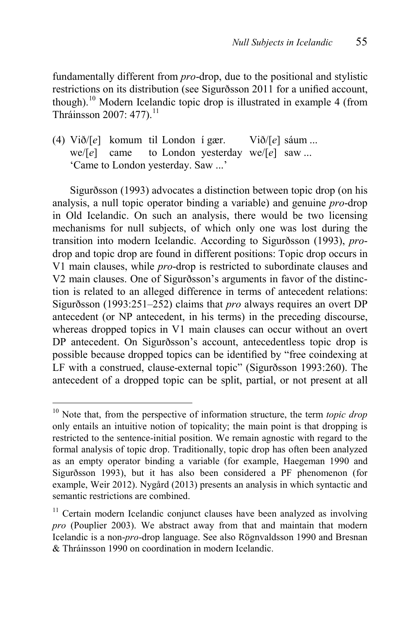fundamentally different from *pro*-drop, due to the positional and stylistic restrictions on its distribution (see Sigurðsson 2011 for a unified account, though).<sup>10</sup> Modern Icelandic topic drop is illustrated in example 4 (from Thráinsson 2007: 477).<sup>11</sup>

(4) Við/[*e*] komum til London í gær. Við/[*e*] sáum ... we/[*e*] came to London yesterday we/[*e*] saw ... 'Came to London yesterday. Saw ...'

Sigurðsson (1993) advocates a distinction between topic drop (on his analysis, a null topic operator binding a variable) and genuine *pro*-drop in Old Icelandic. On such an analysis, there would be two licensing mechanisms for null subjects, of which only one was lost during the transition into modern Icelandic. According to Sigurðsson (1993), *pro*drop and topic drop are found in different positions: Topic drop occurs in V1 main clauses, while *pro*-drop is restricted to subordinate clauses and V2 main clauses. One of Sigurðsson's arguments in favor of the distinction is related to an alleged difference in terms of antecedent relations: Sigurðsson (1993:251–252) claims that *pro* always requires an overt DP antecedent (or NP antecedent, in his terms) in the preceding discourse, whereas dropped topics in V1 main clauses can occur without an overt DP antecedent. On Sigurðsson's account, antecedentless topic drop is possible because dropped topics can be identified by "free coindexing at LF with a construed, clause-external topic" (Sigurðsson 1993:260). The antecedent of a dropped topic can be split, partial, or not present at all

1

<sup>&</sup>lt;sup>10</sup> Note that, from the perspective of information structure, the term *topic drop* only entails an intuitive notion of topicality; the main point is that dropping is restricted to the sentence-initial position. We remain agnostic with regard to the formal analysis of topic drop. Traditionally, topic drop has often been analyzed as an empty operator binding a variable (for example, Haegeman 1990 and Sigurðsson 1993), but it has also been considered a PF phenomenon (for example, Weir 2012). Nygård (2013) presents an analysis in which syntactic and semantic restrictions are combined.

<sup>&</sup>lt;sup>11</sup> Certain modern Icelandic conjunct clauses have been analyzed as involving *pro* (Pouplier 2003). We abstract away from that and maintain that modern Icelandic is a non-*pro*-drop language. See also Rögnvaldsson 1990 and Bresnan & Thráinsson 1990 on coordination in modern Icelandic.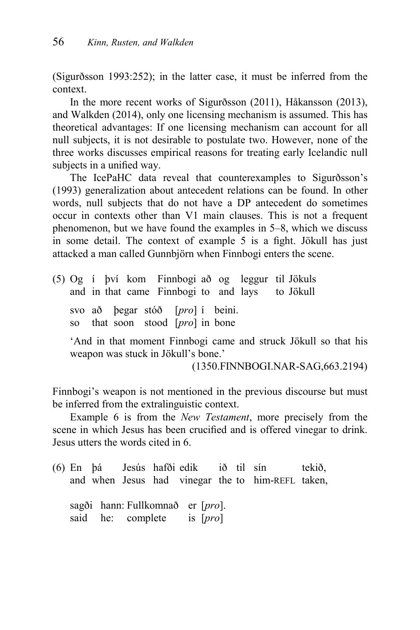(Sigurðsson 1993:252); in the latter case, it must be inferred from the context.

In the more recent works of Sigurðsson (2011), Håkansson (2013), and Walkden (2014), only one licensing mechanism is assumed. This has theoretical advantages: If one licensing mechanism can account for all null subjects, it is not desirable to postulate two. However, none of the three works discusses empirical reasons for treating early Icelandic null subjects in a unified way.

The IcePaHC data reveal that counterexamples to Sigurðsson's (1993) generalization about antecedent relations can be found. In other words, null subjects that do not have a DP antecedent do sometimes occur in contexts other than V1 main clauses. This is not a frequent phenomenon, but we have found the examples in 5–8, which we discuss in some detail. The context of example 5 is a fight. Jökull has just attacked a man called Gunnbjörn when Finnbogi enters the scene.

(5) Og í því kom Finnbogi að og leggur til Jökuls and in that came Finnbogi to and lays to Jökull svo að þegar stóð [*pro*] í beini. so that soon stood [*pro*] in bone

'And in that moment Finnbogi came and struck Jökull so that his weapon was stuck in Jökull's bone.'

(1350.FINNBOGI.NAR-SAG,663.2194)

Finnbogi's weapon is not mentioned in the previous discourse but must be inferred from the extralinguistic context.

Example 6 is from the *New Testament*, more precisely from the scene in which Jesus has been crucified and is offered vinegar to drink. Jesus utters the words cited in 6.

(6) En þá Jesús hafði edik ið til sín tekið, and when Jesus had vinegar the to him-REFL taken, sagði hann: Fullkomnað er [*pro*]. said he: complete is [*pro*]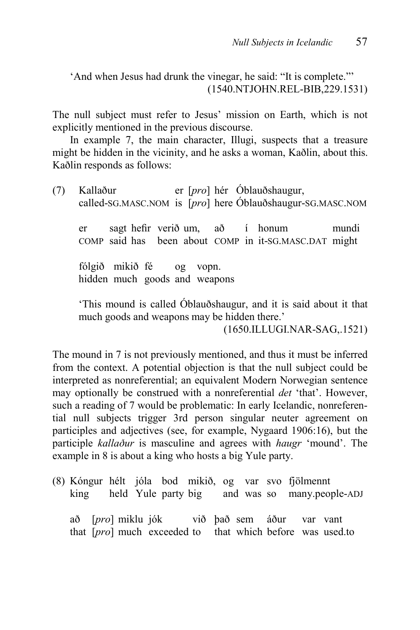'And when Jesus had drunk the vinegar, he said: "It is complete."' (1540.NTJOHN.REL-BIB,229.1531)

The null subject must refer to Jesus' mission on Earth, which is not explicitly mentioned in the previous discourse.

In example 7, the main character, Illugi, suspects that a treasure might be hidden in the vicinity, and he asks a woman, Kaðlin, about this. Kaðlin responds as follows:

(7) Kallaður er [*pro*] hér Óblauðshaugur, called-SG.MASC.NOM is [*pro*] here Óblauðshaugur-SG.MASC.NOM

er sagt hefir verið um, að í honum mundi COMP said has been about COMP in it-SG.MASC.DAT might

fólgið mikið fé og vopn. hidden much goods and weapons

'This mound is called Óblauðshaugur, and it is said about it that much goods and weapons may be hidden there.'

(1650.ILLUGI.NAR-SAG,.1521)

The mound in 7 is not previously mentioned, and thus it must be inferred from the context. A potential objection is that the null subject could be interpreted as nonreferential; an equivalent Modern Norwegian sentence may optionally be construed with a nonreferential *det* 'that'. However, such a reading of 7 would be problematic: In early Icelandic, nonreferential null subjects trigger 3rd person singular neuter agreement on participles and adjectives (see, for example, Nygaard 1906:16), but the participle *kallaður* is masculine and agrees with *haugr* 'mound'. The example in 8 is about a king who hosts a big Yule party.

(8) Kóngur hélt jóla bod mikið, og var svo fjölmennt king held Yule party big and was so many.people-ADJ

að [*pro*] miklu jók við það sem áður var vant that [*pro*] much exceeded to that which before was used.to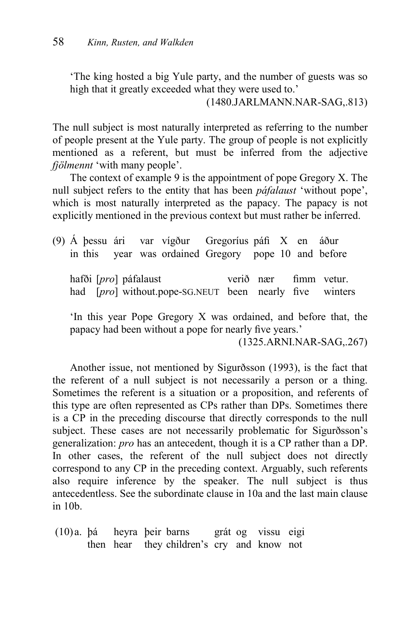'The king hosted a big Yule party, and the number of guests was so high that it greatly exceeded what they were used to.'

(1480.JARLMANN.NAR-SAG,.813)

The null subject is most naturally interpreted as referring to the number of people present at the Yule party. The group of people is not explicitly mentioned as a referent, but must be inferred from the adjective *fjölmennt* 'with many people'.

The context of example 9 is the appointment of pope Gregory X. The null subject refers to the entity that has been *páfalaust* 'without pope', which is most naturally interpreted as the papacy. The papacy is not explicitly mentioned in the previous context but must rather be inferred.

 $(9)$  Á þessu ári var vígður Gregoríus páfi X en áður in this year was ordained Gregory pope 10 and before hafði [*pro*] páfalaust verið nær fimm vetur. had [*pro*] without.pope-SG.NEUT been nearly five winters

'In this year Pope Gregory X was ordained, and before that, the papacy had been without a pope for nearly five years.'

(1325.ARNI.NAR-SAG,.267)

Another issue, not mentioned by Sigurðsson (1993), is the fact that the referent of a null subject is not necessarily a person or a thing. Sometimes the referent is a situation or a proposition, and referents of this type are often represented as CPs rather than DPs. Sometimes there is a CP in the preceding discourse that directly corresponds to the null subject. These cases are not necessarily problematic for Sigurðsson's generalization: *pro* has an antecedent, though it is a CP rather than a DP. In other cases, the referent of the null subject does not directly correspond to any CP in the preceding context. Arguably, such referents also require inference by the speaker. The null subject is thus antecedentless. See the subordinate clause in 10a and the last main clause in 10b.

(10)a. þá heyra þeir barns grát og vissu eigi then hear they children's cry and know not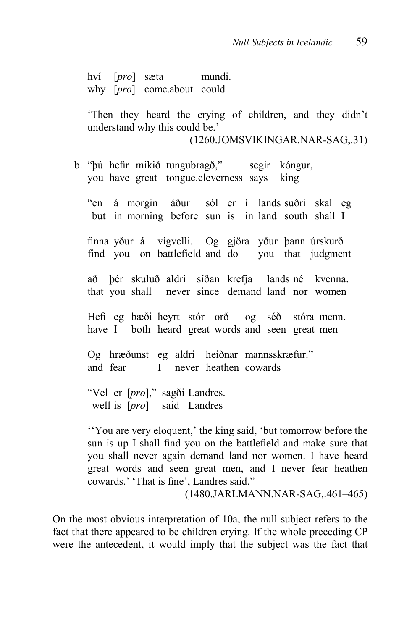hví [*pro*] sæta mundi. why [*pro*] come.about could

'Then they heard the crying of children, and they didn't understand why this could be.'

(1260.JOMSVIKINGAR.NAR-SAG,.31)

b. "þú hefir mikið tungubragð," segir kóngur, you have great tongue.cleverness says king

"en á morgin áður sól er í lands suðri skal eg but in morning before sun is in land south shall I

¿nna yður á vígvelli. Og gjöra yður þann úrskurð find you on battlefield and do you that judgment

að þér skuluð aldri síðan krefja lands né kvenna. that you shall never since demand land nor women

+H¿ eg bæði heyrt stór orð og séð stóra menn. have I both heard great words and seen great men

Og hræðunst eg aldri heiðnar mannsskræfur." and fear I never heathen cowards

"Vel er [*pro*]," sagði Landres. well is [*pro*] said Landres

''You are very eloquent,' the king said, 'but tomorrow before the sun is up I shall find you on the battlefield and make sure that you shall never again demand land nor women. I have heard great words and seen great men, and I never fear heathen cowards.' 'That is fine', Landres said."

(1480.JARLMANN.NAR-SAG,.461–465)

On the most obvious interpretation of 10a, the null subject refers to the fact that there appeared to be children crying. If the whole preceding CP were the antecedent, it would imply that the subject was the fact that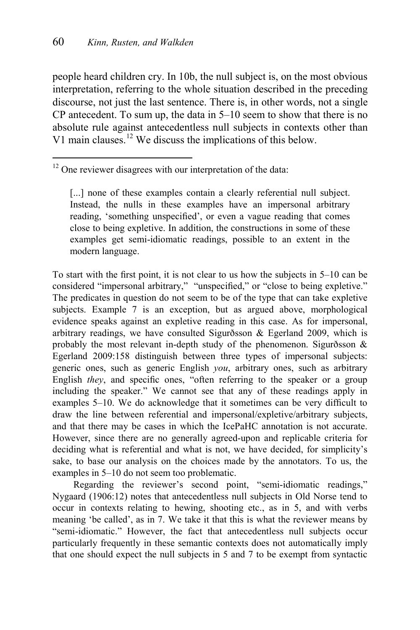1

people heard children cry. In 10b, the null subject is, on the most obvious interpretation, referring to the whole situation described in the preceding discourse, not just the last sentence. There is, in other words, not a single CP antecedent. To sum up, the data in 5–10 seem to show that there is no absolute rule against antecedentless null subjects in contexts other than V1 main clauses.<sup>12</sup> We discuss the implications of this below.

 $12$  One reviewer disagrees with our interpretation of the data:

[...] none of these examples contain a clearly referential null subject. Instead, the nulls in these examples have an impersonal arbitrary reading, 'something unspecified', or even a vague reading that comes close to being expletive. In addition, the constructions in some of these examples get semi-idiomatic readings, possible to an extent in the modern language.

To start with the first point, it is not clear to us how the subjects in  $5-10$  can be considered "impersonal arbitrary," "unspecified," or "close to being expletive." The predicates in question do not seem to be of the type that can take expletive subjects. Example 7 is an exception, but as argued above, morphological evidence speaks against an expletive reading in this case. As for impersonal, arbitrary readings, we have consulted Sigurðsson & Egerland 2009, which is probably the most relevant in-depth study of the phenomenon. Sigurðsson & Egerland 2009:158 distinguish between three types of impersonal subjects: generic ones, such as generic English *you*, arbitrary ones, such as arbitrary English *they*, and specific ones, "often referring to the speaker or a group including the speaker." We cannot see that any of these readings apply in examples  $5-10$ . We do acknowledge that it sometimes can be very difficult to draw the line between referential and impersonal/expletive/arbitrary subjects, and that there may be cases in which the IcePaHC annotation is not accurate. However, since there are no generally agreed-upon and replicable criteria for deciding what is referential and what is not, we have decided, for simplicity's sake, to base our analysis on the choices made by the annotators. To us, the examples in 5–10 do not seem too problematic.

Regarding the reviewer's second point, "semi-idiomatic readings," Nygaard (1906:12) notes that antecedentless null subjects in Old Norse tend to occur in contexts relating to hewing, shooting etc., as in 5, and with verbs meaning 'be called', as in 7. We take it that this is what the reviewer means by "semi-idiomatic." However, the fact that antecedentless null subjects occur particularly frequently in these semantic contexts does not automatically imply that one should expect the null subjects in 5 and 7 to be exempt from syntactic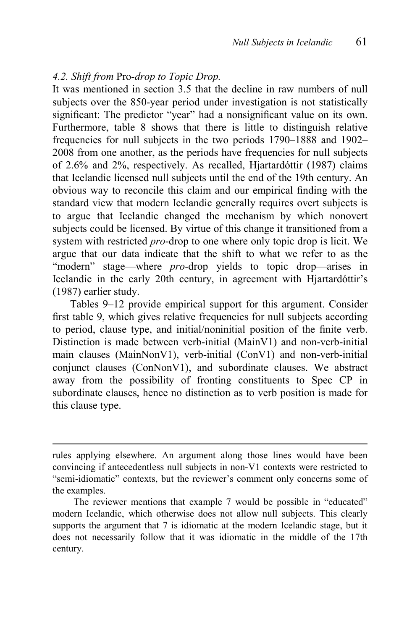#### *4.2. Shift from* Pro*-drop to Topic Drop.*

1

It was mentioned in section 3.5 that the decline in raw numbers of null subjects over the 850-year period under investigation is not statistically significant: The predictor "year" had a nonsignificant value on its own. Furthermore, table 8 shows that there is little to distinguish relative frequencies for null subjects in the two periods 1790–1888 and 1902– 2008 from one another, as the periods have frequencies for null subjects of 2.6% and 2%, respectively. As recalled, Hjartardóttir (1987) claims that Icelandic licensed null subjects until the end of the 19th century. An obvious way to reconcile this claim and our empirical finding with the standard view that modern Icelandic generally requires overt subjects is to argue that Icelandic changed the mechanism by which nonovert subjects could be licensed. By virtue of this change it transitioned from a system with restricted *pro*-drop to one where only topic drop is licit. We argue that our data indicate that the shift to what we refer to as the "modern" stage—where *pro*-drop yields to topic drop—arises in Icelandic in the early 20th century, in agreement with Hjartardóttir's (1987) earlier study.

Tables 9–12 provide empirical support for this argument. Consider first table 9, which gives relative frequencies for null subjects according to period, clause type, and initial/noninitial position of the finite verb. Distinction is made between verb-initial (MainV1) and non-verb-initial main clauses (MainNonV1), verb-initial (ConV1) and non-verb-initial conjunct clauses (ConNonV1), and subordinate clauses. We abstract away from the possibility of fronting constituents to Spec CP in subordinate clauses, hence no distinction as to verb position is made for this clause type.

rules applying elsewhere. An argument along those lines would have been convincing if antecedentless null subjects in non-V1 contexts were restricted to "semi-idiomatic" contexts, but the reviewer's comment only concerns some of the examples.

The reviewer mentions that example 7 would be possible in "educated" modern Icelandic, which otherwise does not allow null subjects. This clearly supports the argument that 7 is idiomatic at the modern Icelandic stage, but it does not necessarily follow that it was idiomatic in the middle of the 17th century.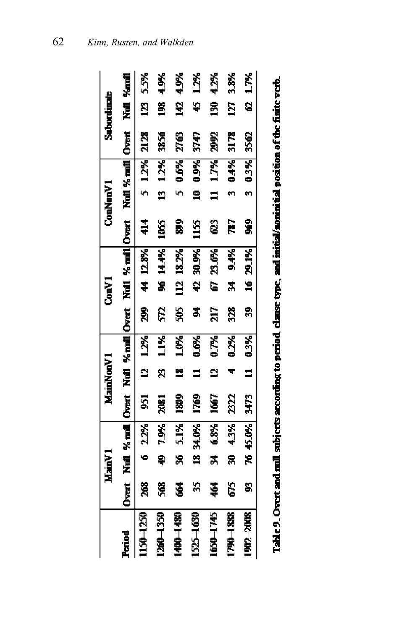|                                                                                                                   |     | Main <sup>V</sup> 1 |          |                      | MainNonV1      |               |               | Conv1 |              |                                                                                       | ConNonV1 |             |      | <b>Subordinate</b> |          |
|-------------------------------------------------------------------------------------------------------------------|-----|---------------------|----------|----------------------|----------------|---------------|---------------|-------|--------------|---------------------------------------------------------------------------------------|----------|-------------|------|--------------------|----------|
| Period                                                                                                            |     |                     |          |                      |                |               |               |       |              | Overt Null % and Overt Null % and Overt Null % and  Overt Null % and  Overt Null %and |          |             |      |                    |          |
| 1150-1250                                                                                                         | 268 |                     |          | 6 22% 951 12 12% 299 |                |               |               |       | 44 12.8% 414 |                                                                                       |          | 5 12% 2128  |      |                    | 123 5.5% |
| 1260-1350                                                                                                         | 568 |                     | 19% 04   | <b>2081</b>          | ន              | 1.1%          | ξŚ,           |       | 94 14.4%     | <b>1055</b>                                                                           |          | $13 \t12%$  | 3356 | Š                  | 4.9%     |
| 1400-1480                                                                                                         | Ś   | ×                   | 5.1%     | <b>DAN</b>           | ×              | 1.0%          | Ş             |       | 112 18.2%    | 2                                                                                     | ò        | 0.6%        | 2763 | £                  | 49%      |
| 1525-1630                                                                                                         | S   |                     | 18 34.0% | 1769                 |                | 0.6%          | Ż,            |       | 42 30 9%     | 1155                                                                                  | ≘        | 09%         | 3747 | Ş                  | 12%      |
| 1650-1745                                                                                                         | \$4 |                     | 34 68%   | 1667                 | $\overline{a}$ | $\frac{1}{2}$ | ă             |       | 67 23.6%     | ្ត                                                                                    |          | $11 - 1.7%$ | 2992 | S,                 | 4.2%     |
| 1790-1888                                                                                                         | C)  |                     | 30 43%   | 2322                 |                | 1.55          | $\frac{3}{2}$ | ¥,    | 9.4%         | 787                                                                                   |          | 0.4%        | 3178 | 27                 | 3.8%     |
| 1902-2008                                                                                                         | S   |                     | 76 45.0% |                      |                | 3473 11 0.3%  |               |       | 39 16 29 1%  | ş                                                                                     |          | 3 0.3%      | 3562 |                    | 62 1.7%  |
| the Contract of the column contract of the column of the contract of the column of the first column of the second |     |                     |          |                      |                |               |               |       |              |                                                                                       |          |             |      |                    |          |

| ֡֡֡֡֡֡ |
|--------|
|        |
|        |
|        |
|        |
|        |
|        |
|        |
|        |
|        |
|        |
|        |
|        |
|        |
|        |
|        |
|        |
|        |
|        |
|        |
|        |
|        |
|        |
|        |
|        |
|        |
|        |
|        |
| I      |
|        |
|        |
|        |
|        |
|        |
|        |
|        |
|        |
|        |
|        |
|        |
|        |
|        |
|        |
|        |
|        |
|        |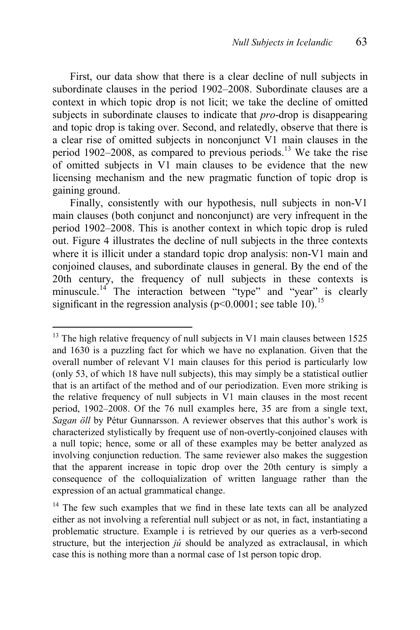First, our data show that there is a clear decline of null subjects in subordinate clauses in the period 1902–2008. Subordinate clauses are a context in which topic drop is not licit; we take the decline of omitted subjects in subordinate clauses to indicate that *pro*-drop is disappearing and topic drop is taking over. Second, and relatedly, observe that there is a clear rise of omitted subjects in nonconjunct V1 main clauses in the period  $1902-2008$ , as compared to previous periods.<sup>13</sup> We take the rise of omitted subjects in V1 main clauses to be evidence that the new licensing mechanism and the new pragmatic function of topic drop is gaining ground.

Finally, consistently with our hypothesis, null subjects in non-V1 main clauses (both conjunct and nonconjunct) are very infrequent in the period 1902–2008. This is another context in which topic drop is ruled out. Figure 4 illustrates the decline of null subjects in the three contexts where it is illicit under a standard topic drop analysis: non-V1 main and conjoined clauses, and subordinate clauses in general. By the end of the 20th century, the frequency of null subjects in these contexts is minuscule.<sup>14</sup> The interaction between "type" and "year" is clearly significant in the regression analysis ( $p<0.0001$ ; see table 10).<sup>15</sup>

 $\overline{a}$ 

 $13$  The high relative frequency of null subjects in V1 main clauses between 1525 and 1630 is a puzzling fact for which we have no explanation. Given that the overall number of relevant V1 main clauses for this period is particularly low (only 53, of which 18 have null subjects), this may simply be a statistical outlier that is an artifact of the method and of our periodization. Even more striking is the relative frequency of null subjects in V1 main clauses in the most recent period, 1902–2008. Of the 76 null examples here, 35 are from a single text, *Sagan öll* by Pétur Gunnarsson. A reviewer observes that this author's work is characterized stylistically by frequent use of non-overtly-conjoined clauses with a null topic; hence, some or all of these examples may be better analyzed as involving conjunction reduction. The same reviewer also makes the suggestion that the apparent increase in topic drop over the 20th century is simply a consequence of the colloquialization of written language rather than the expression of an actual grammatical change.

The few such examples that we find in these late texts can all be analyzed either as not involving a referential null subject or as not, in fact, instantiating a problematic structure. Example i is retrieved by our queries as a verb-second structure, but the interjection *jú* should be analyzed as extraclausal, in which case this is nothing more than a normal case of 1st person topic drop.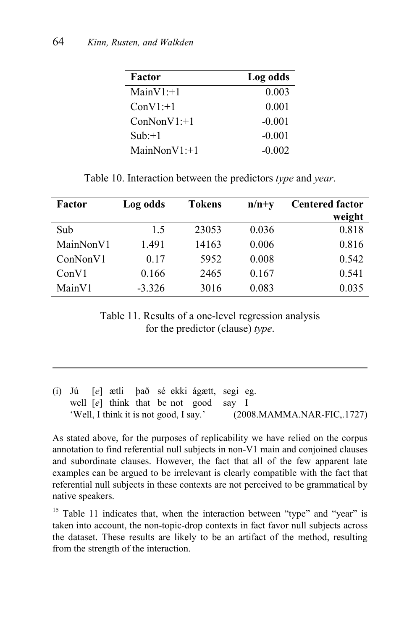1

| Factor          | Log odds |
|-----------------|----------|
| $MainV1: +1$    | 0.003    |
| $ConV1:+1$      | 0.001    |
| $ConNonV1: +1$  | $-0.001$ |
| $Sub: +1$       | $-0.001$ |
| $MainNonV1: +1$ | $-0.002$ |

Table 10. Interaction between the predictors *type* and *year*.

| Factor    | Log odds | <b>Tokens</b> | $n/n+y$ | <b>Centered factor</b> |
|-----------|----------|---------------|---------|------------------------|
|           |          |               |         | weight                 |
| Sub       | 1.5      | 23053         | 0.036   | 0.818                  |
| MainNonV1 | 1.491    | 14163         | 0.006   | 0.816                  |
| ConNonV1  | 0.17     | 5952          | 0.008   | 0.542                  |
| ConV1     | 0.166    | 2465          | 0.167   | 0.541                  |
| MainV1    | $-3.326$ | 3016          | 0.083   | 0.035                  |
|           |          |               |         |                        |

Table 11. Results of a one-level regression analysis for the predictor (clause) *type*.

|  |  | (i) Jú [e] ætli það sé ekki ágætt, segi eg. |  |                            |
|--|--|---------------------------------------------|--|----------------------------|
|  |  | well $[e]$ think that be not good say I     |  |                            |
|  |  | 'Well, I think it is not good, I say.'      |  | (2008.MAMMA.NAR-FIC, 1727) |

As stated above, for the purposes of replicability we have relied on the corpus annotation to find referential null subjects in non-V1 main and conjoined clauses and subordinate clauses. However, the fact that all of the few apparent late examples can be argued to be irrelevant is clearly compatible with the fact that referential null subjects in these contexts are not perceived to be grammatical by native speakers.

<sup>15</sup> Table 11 indicates that, when the interaction between "type" and "year" is taken into account, the non-topic-drop contexts in fact favor null subjects across the dataset. These results are likely to be an artifact of the method, resulting from the strength of the interaction.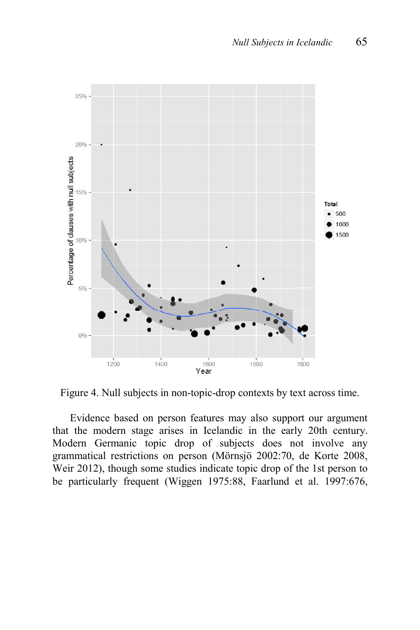

Figure 4. Null subjects in non-topic-drop contexts by text across time.

Evidence based on person features may also support our argument that the modern stage arises in Icelandic in the early 20th century. Modern Germanic topic drop of subjects does not involve any grammatical restrictions on person (Mörnsjö 2002:70, de Korte 2008, Weir 2012), though some studies indicate topic drop of the 1st person to be particularly frequent (Wiggen 1975:88, Faarlund et al. 1997:676,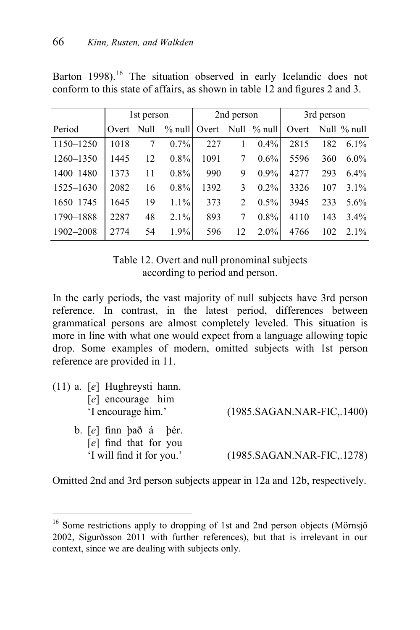Barton 1998).<sup>16</sup> The situation observed in early Icelandic does not conform to this state of affairs, as shown in table  $12$  and figures  $2$  and  $3$ .

|               | 1st person |    | 2nd person |      |                             | 3rd person               |       |     |             |
|---------------|------------|----|------------|------|-----------------------------|--------------------------|-------|-----|-------------|
| Period        | Overt Null |    |            |      |                             | % null overt Null % null | Overt |     | Null % null |
| 1150-1250     | 1018       | 7  | $0.7\%$    | 227  | 1                           | $0.4\%$                  | 2815  | 182 | $6.1\%$     |
| 1260-1350     | 1445       | 12 | $0.8\%$    | 1091 | 7                           | $0.6\%$                  | 5596  | 360 | $6.0\%$     |
| 1400-1480     | 1373       | 11 | $0.8\%$    | 990  | 9                           | $0.9\%$                  | 4277  | 293 | $6.4\%$     |
| $1525 - 1630$ | 2082       | 16 | $0.8\%$    | 1392 | 3                           | $0.2\%$                  | 3326  | 107 | $3.1\%$     |
| 1650-1745     | 1645       | 19 | 1.1%       | 373  | $\mathcal{D}_{\mathcal{L}}$ | $0.5\%$                  | 3945  | 233 | $5.6\%$     |
| 1790-1888     | 2287       | 48 | 2.1%       | 893  | 7                           | $0.8\%$                  | 4110  | 143 | $3.4\%$     |
| 1902-2008     | 2774       | 54 | 1.9%       | 596  | 12                          | $2.0\%$                  | 4766  | 102 | $2.1\%$     |

Table 12. Overt and null pronominal subjects according to period and person.

In the early periods, the vast majority of null subjects have 3rd person reference. In contrast, in the latest period, differences between grammatical persons are almost completely leveled. This situation is more in line with what one would expect from a language allowing topic drop. Some examples of modern, omitted subjects with 1st person reference are provided in 11.

| $(11)$ a. [e] Hughreysti hann.<br>$[e]$ encourage him<br>'I encourage him.' | (1985.SAGAN.NAR-FIC, 1400) |
|-----------------------------------------------------------------------------|----------------------------|
| b. $[e]$ finn $ba\delta$ á $b\acute{e}r$ .<br>$[e]$ find that for you       |                            |
| 'I will find it for you.'                                                   | (1985.SAGAN.NAR-FIC, 1278) |

Omitted 2nd and 3rd person subjects appear in 12a and 12b, respectively.

1

<sup>&</sup>lt;sup>16</sup> Some restrictions apply to dropping of 1st and 2nd person objects (Mörnsjö 2002, Sigurðsson 2011 with further references), but that is irrelevant in our context, since we are dealing with subjects only.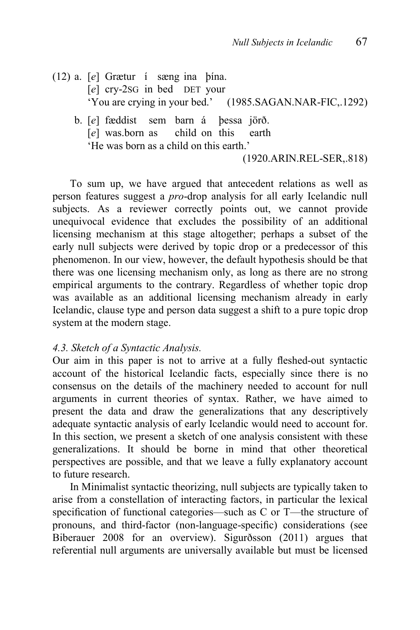- (12) a. [*e*] Grætur í sæng ina þína. [*e*] cry-2SG in bed DET your 'You are crying in your bed.' (1985.SAGAN.NAR-FIC,.1292)
	- b. [*e*] fæddist sem barn á þessa jörð. [*e*] was.born as child on this earth 'He was born as a child on this earth.'

(1920.ARIN.REL-SER,.818)

To sum up, we have argued that antecedent relations as well as person features suggest a *pro*-drop analysis for all early Icelandic null subjects. As a reviewer correctly points out, we cannot provide unequivocal evidence that excludes the possibility of an additional licensing mechanism at this stage altogether; perhaps a subset of the early null subjects were derived by topic drop or a predecessor of this phenomenon. In our view, however, the default hypothesis should be that there was one licensing mechanism only, as long as there are no strong empirical arguments to the contrary. Regardless of whether topic drop was available as an additional licensing mechanism already in early Icelandic, clause type and person data suggest a shift to a pure topic drop system at the modern stage.

#### *4.3. Sketch of a Syntactic Analysis.*

Our aim in this paper is not to arrive at a fully fleshed-out syntactic account of the historical Icelandic facts, especially since there is no consensus on the details of the machinery needed to account for null arguments in current theories of syntax. Rather, we have aimed to present the data and draw the generalizations that any descriptively adequate syntactic analysis of early Icelandic would need to account for. In this section, we present a sketch of one analysis consistent with these generalizations. It should be borne in mind that other theoretical perspectives are possible, and that we leave a fully explanatory account to future research.

In Minimalist syntactic theorizing, null subjects are typically taken to arise from a constellation of interacting factors, in particular the lexical specification of functional categories—such as  $C$  or T—the structure of pronouns, and third-factor (non-language-specific) considerations (see Biberauer 2008 for an overview). Sigurðsson (2011) argues that referential null arguments are universally available but must be licensed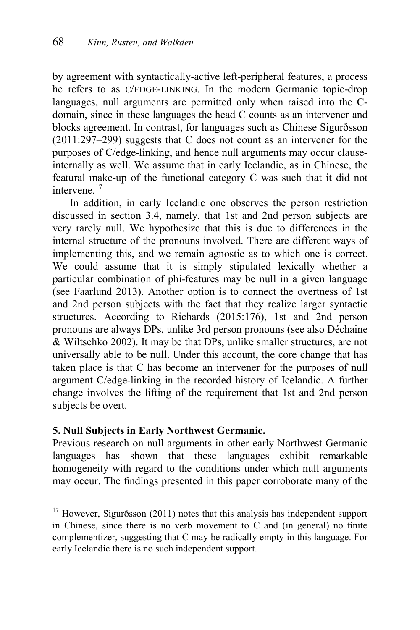by agreement with syntactically-active left-peripheral features, a process he refers to as C/EDGE-LINKING. In the modern Germanic topic-drop languages, null arguments are permitted only when raised into the Cdomain, since in these languages the head C counts as an intervener and blocks agreement. In contrast, for languages such as Chinese Sigurðsson (2011:297–299) suggests that C does not count as an intervener for the purposes of C/edge-linking, and hence null arguments may occur clauseinternally as well. We assume that in early Icelandic, as in Chinese, the featural make-up of the functional category C was such that it did not intervene. $17$ 

In addition, in early Icelandic one observes the person restriction discussed in section 3.4, namely, that 1st and 2nd person subjects are very rarely null. We hypothesize that this is due to differences in the internal structure of the pronouns involved. There are different ways of implementing this, and we remain agnostic as to which one is correct. We could assume that it is simply stipulated lexically whether a particular combination of phi-features may be null in a given language (see Faarlund 2013). Another option is to connect the overtness of 1st and 2nd person subjects with the fact that they realize larger syntactic structures. According to Richards (2015:176), 1st and 2nd person pronouns are always DPs, unlike 3rd person pronouns (see also Déchaine & Wiltschko 2002). It may be that DPs, unlike smaller structures, are not universally able to be null. Under this account, the core change that has taken place is that C has become an intervener for the purposes of null argument C/edge-linking in the recorded history of Icelandic. A further change involves the lifting of the requirement that 1st and 2nd person subjects be overt.

### **5. Null Subjects in Early Northwest Germanic.**

 $\overline{a}$ 

Previous research on null arguments in other early Northwest Germanic languages has shown that these languages exhibit remarkable homogeneity with regard to the conditions under which null arguments may occur. The findings presented in this paper corroborate many of the

 $17$  However, Sigurðsson (2011) notes that this analysis has independent support in Chinese, since there is no verb movement to  $\dot{C}$  and (in general) no finite complementizer, suggesting that C may be radically empty in this language. For early Icelandic there is no such independent support.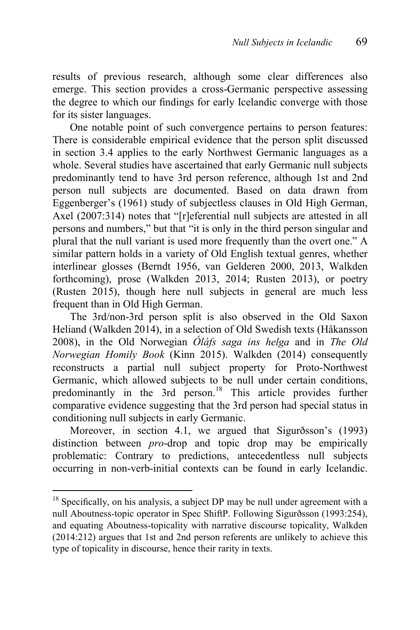results of previous research, although some clear differences also emerge. This section provides a cross-Germanic perspective assessing the degree to which our findings for early Icelandic converge with those for its sister languages.

One notable point of such convergence pertains to person features: There is considerable empirical evidence that the person split discussed in section 3.4 applies to the early Northwest Germanic languages as a whole. Several studies have ascertained that early Germanic null subjects predominantly tend to have 3rd person reference, although 1st and 2nd person null subjects are documented. Based on data drawn from Eggenberger's (1961) study of subjectless clauses in Old High German, Axel (2007:314) notes that "[r]eferential null subjects are attested in all persons and numbers," but that "it is only in the third person singular and plural that the null variant is used more frequently than the overt one." A similar pattern holds in a variety of Old English textual genres, whether interlinear glosses (Berndt 1956, van Gelderen 2000, 2013, Walkden forthcoming), prose (Walkden 2013, 2014; Rusten 2013), or poetry (Rusten 2015), though here null subjects in general are much less frequent than in Old High German.

The 3rd/non-3rd person split is also observed in the Old Saxon Heliand (Walkden 2014), in a selection of Old Swedish texts (Håkansson 2008), in the Old Norwegian *Óláfs saga ins helga* and in *The Old Norwegian Homily Book* (Kinn 2015). Walkden (2014) consequently reconstructs a partial null subject property for Proto-Northwest Germanic, which allowed subjects to be null under certain conditions, predominantly in the 3rd person.<sup>18</sup> This article provides further comparative evidence suggesting that the 3rd person had special status in conditioning null subjects in early Germanic.

Moreover, in section 4.1, we argued that Sigurðsson's (1993) distinction between *pro*-drop and topic drop may be empirically problematic: Contrary to predictions, antecedentless null subjects occurring in non-verb-initial contexts can be found in early Icelandic.

 $\overline{a}$ 

 $18$  Specifically, on his analysis, a subject DP may be null under agreement with a null Aboutness-topic operator in Spec ShiftP. Following Sigurðsson (1993:254), and equating Aboutness-topicality with narrative discourse topicality, Walkden (2014:212) argues that 1st and 2nd person referents are unlikely to achieve this type of topicality in discourse, hence their rarity in texts.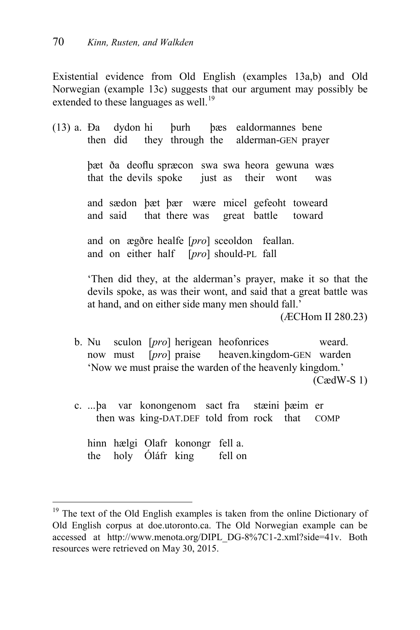Existential evidence from Old English (examples 13a,b) and Old Norwegian (example 13c) suggests that our argument may possibly be extended to these languages as well.<sup>19</sup>

- (13) a. Ða dydon hi þurh þæs ealdormannes bene then did they through the alderman-GEN prayer þæt ða deoflu spræcon swa swa heora gewuna wæs that the devils spoke just as their wont was and sædon þæt þær wære micel gefeoht toweard and said that there was great battle toward and on ægðre healfe [*pro*] sceoldon feallan. and on either half [*pro*] should-PL fall 'Then did they, at the alderman's prayer, make it so that the devils spoke, as was their wont, and said that a great battle was at hand, and on either side many men should fall.' (ÆCHom II 280.23) b. Nu sculon [*pro*] herigean heofonrices weard.
	- now must [*pro*] praise heaven.kingdom-GEN warden 'Now we must praise the warden of the heavenly kingdom.' (CædW-S 1)
	- c. ...þa var konongenom sact fra stæini þæim er then was king-DAT.DEF told from rock that COMP

hinn hælgi Olafr konongr fell a. the holy Óláfr king fell on

1

 $19$  The text of the Old English examples is taken from the online Dictionary of Old English corpus at doe.utoronto.ca. The Old Norwegian example can be accessed at http://www.menota.org/DIPL\_DG-8%7C1-2.xml?side=41v. Both resources were retrieved on May 30, 2015.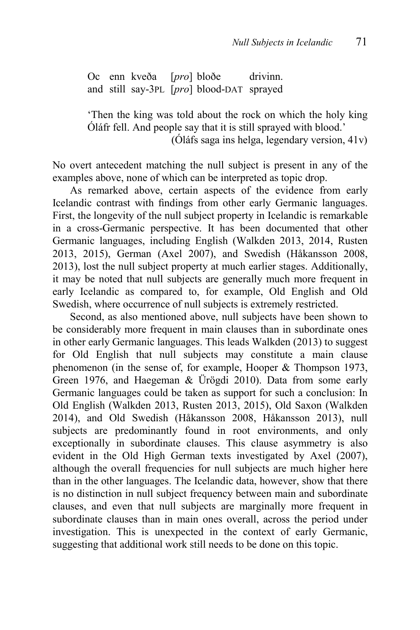Oc enn kveða [*pro*] bloðe drivinn. and still say-3PL [*pro*] blood-DAT sprayed

'Then the king was told about the rock on which the holy king Óláfr fell. And people say that it is still sprayed with blood.'

(Óláfs saga ins helga, legendary version, 41v)

No overt antecedent matching the null subject is present in any of the examples above, none of which can be interpreted as topic drop.

As remarked above, certain aspects of the evidence from early Icelandic contrast with findings from other early Germanic languages. First, the longevity of the null subject property in Icelandic is remarkable in a cross-Germanic perspective. It has been documented that other Germanic languages, including English (Walkden 2013, 2014, Rusten 2013, 2015), German (Axel 2007), and Swedish (Håkansson 2008, 2013), lost the null subject property at much earlier stages. Additionally, it may be noted that null subjects are generally much more frequent in early Icelandic as compared to, for example, Old English and Old Swedish, where occurrence of null subjects is extremely restricted.

Second, as also mentioned above, null subjects have been shown to be considerably more frequent in main clauses than in subordinate ones in other early Germanic languages. This leads Walkden (2013) to suggest for Old English that null subjects may constitute a main clause phenomenon (in the sense of, for example, Hooper & Thompson 1973, Green 1976, and Haegeman & Ürögdi 2010). Data from some early Germanic languages could be taken as support for such a conclusion: In Old English (Walkden 2013, Rusten 2013, 2015), Old Saxon (Walkden 2014), and Old Swedish (Håkansson 2008, Håkansson 2013), null subjects are predominantly found in root environments, and only exceptionally in subordinate clauses. This clause asymmetry is also evident in the Old High German texts investigated by Axel (2007), although the overall frequencies for null subjects are much higher here than in the other languages. The Icelandic data, however, show that there is no distinction in null subject frequency between main and subordinate clauses, and even that null subjects are marginally more frequent in subordinate clauses than in main ones overall, across the period under investigation. This is unexpected in the context of early Germanic, suggesting that additional work still needs to be done on this topic.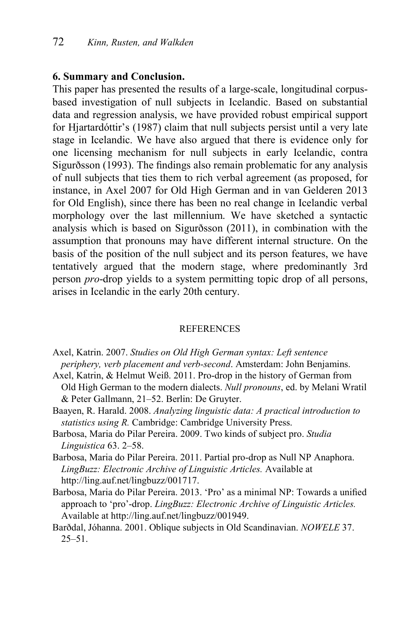#### **6. Summary and Conclusion.**

This paper has presented the results of a large-scale, longitudinal corpusbased investigation of null subjects in Icelandic. Based on substantial data and regression analysis, we have provided robust empirical support for Hjartardóttir's (1987) claim that null subjects persist until a very late stage in Icelandic. We have also argued that there is evidence only for one licensing mechanism for null subjects in early Icelandic, contra Sigurðsson (1993). The findings also remain problematic for any analysis of null subjects that ties them to rich verbal agreement (as proposed, for instance, in Axel 2007 for Old High German and in van Gelderen 2013 for Old English), since there has been no real change in Icelandic verbal morphology over the last millennium. We have sketched a syntactic analysis which is based on Sigurðsson (2011), in combination with the assumption that pronouns may have different internal structure. On the basis of the position of the null subject and its person features, we have tentatively argued that the modern stage, where predominantly 3rd person *pro*-drop yields to a system permitting topic drop of all persons, arises in Icelandic in the early 20th century.

#### **REFERENCES**

- Axel, Katrin. 2007. *Studies on Old High German syntax: Left sentence periphery, verb placement and verb-second*. Amsterdam: John Benjamins.
- Axel, Katrin, & Helmut Weiß. 2011. Pro-drop in the history of German from Old High German to the modern dialects. *Null pronouns*, ed. by Melani Wratil & Peter Gallmann, 21–52. Berlin: De Gruyter.
- Baayen, R. Harald. 2008. *Analyzing linguistic data: A practical introduction to statistics using R.* Cambridge: Cambridge University Press.
- Barbosa, Maria do Pilar Pereira. 2009. Two kinds of subject pro. *Studia Linguistica* 63. 2–58.
- Barbosa, Maria do Pilar Pereira. 2011. Partial pro-drop as Null NP Anaphora. *LingBuzz: Electronic Archive of Linguistic Articles.* Available at http://ling.auf.net/lingbuzz/001717.
- Barbosa, Maria do Pilar Pereira. 2013. 'Pro' as a minimal NP: Towards a unified approach to 'pro'-drop. *LingBuzz: Electronic Archive of Linguistic Articles.* Available at http://ling.auf.net/lingbuzz/001949.
- Barðdal, Jóhanna. 2001. Oblique subjects in Old Scandinavian. *NOWELE* 37.  $25 - 51$ .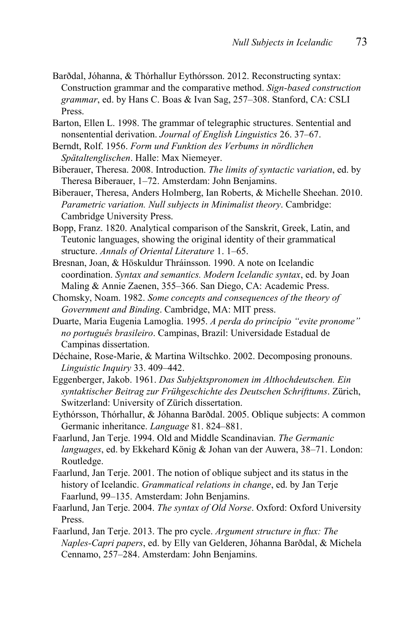- Barðdal, Jóhanna, & Thórhallur Eythórsson. 2012. Reconstructing syntax: Construction grammar and the comparative method. *Sign-based construction grammar*, ed. by Hans C. Boas & Ivan Sag, 257–308. Stanford, CA: CSLI Press.
- Barton, Ellen L. 1998. The grammar of telegraphic structures. Sentential and nonsentential derivation. *Journal of English Linguistics* 26. 37–67.
- Berndt, Rolf. 1956. *Form und Funktion des Verbums in nördlichen Spätaltenglischen*. Halle: Max Niemeyer.
- Biberauer, Theresa. 2008. Introduction. *The limits of syntactic variation*, ed. by Theresa Biberauer, 1–72. Amsterdam: John Benjamins.
- Biberauer, Theresa, Anders Holmberg, Ian Roberts, & Michelle Sheehan. 2010. *Parametric variation. Null subjects in Minimalist theory*. Cambridge: Cambridge University Press.
- Bopp, Franz. 1820. Analytical comparison of the Sanskrit, Greek, Latin, and Teutonic languages, showing the original identity of their grammatical structure. *Annals of Oriental Literature* 1. 1–65.
- Bresnan, Joan, & Höskuldur Thráinsson. 1990. A note on Icelandic coordination. *Syntax and semantics. Modern Icelandic syntax*, ed. by Joan Maling & Annie Zaenen, 355–366. San Diego, CA: Academic Press.
- Chomsky, Noam. 1982. *Some concepts and consequences of the theory of Government and Binding*. Cambridge, MA: MIT press.
- Duarte, Maria Eugenia Lamoglia. 1995. *A perda do princípio "evite pronome" no português brasileiro*. Campinas, Brazil: Universidade Estadual de Campinas dissertation.
- Déchaine, Rose-Marie, & Martina Wiltschko. 2002. Decomposing pronouns. *Linguistic Inquiry* 33. 409–442.
- Eggenberger, Jakob. 1961. *Das Subjektspronomen im Althochdeutschen. Ein syntaktischer Beitrag zur Frühgeschichte des Deutschen Schrifttums*. Zürich, Switzerland: University of Zürich dissertation.
- Eythórsson, Thórhallur, & Jóhanna Barðdal. 2005. Oblique subjects: A common Germanic inheritance. *Language* 81. 824–881.
- Faarlund, Jan Terje. 1994. Old and Middle Scandinavian. *The Germanic languages*, ed. by Ekkehard König & Johan van der Auwera, 38–71. London: Routledge.
- Faarlund, Jan Terje. 2001. The notion of oblique subject and its status in the history of Icelandic. *Grammatical relations in change*, ed. by Jan Terje Faarlund, 99–135. Amsterdam: John Benjamins.
- Faarlund, Jan Terje. 2004. *The syntax of Old Norse*. Oxford: Oxford University Press.
- Faarlund, Jan Terje. 2013. The pro cycle. *Argument structure in flux: The Naples-Capri papers*, ed. by Elly van Gelderen, Jóhanna Barðdal, & Michela Cennamo, 257–284. Amsterdam: John Benjamins.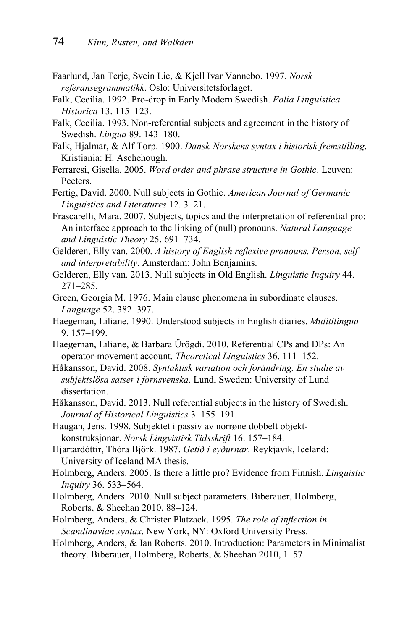- Faarlund, Jan Terje, Svein Lie, & Kjell Ivar Vannebo. 1997. *Norsk referansegrammatikk*. Oslo: Universitetsforlaget.
- Falk, Cecilia. 1992. Pro-drop in Early Modern Swedish. *Folia Linguistica Historica* 13. 115–123.
- Falk, Cecilia. 1993. Non-referential subjects and agreement in the history of Swedish. *Lingua* 89. 143–180.
- Falk, Hjalmar, & Alf Torp. 1900. *Dansk-Norskens syntax i historisk fremstilling*. Kristiania: H. Aschehough.
- Ferraresi, Gisella. 2005. *Word order and phrase structure in Gothic*. Leuven: Peeters.
- Fertig, David. 2000. Null subjects in Gothic. *American Journal of Germanic Linguistics and Literatures* 12. 3–21.
- Frascarelli, Mara. 2007. Subjects, topics and the interpretation of referential pro: An interface approach to the linking of (null) pronouns. *Natural Language and Linguistic Theory* 25. 691–734.
- Gelderen, Elly van. 2000. *A history of English reflexive pronouns. Person, self and interpretability*. Amsterdam: John Benjamins.
- Gelderen, Elly van. 2013. Null subjects in Old English. *Linguistic Inquiry* 44. 271–285.
- Green, Georgia M. 1976. Main clause phenomena in subordinate clauses. *Language* 52. 382–397.
- Haegeman, Liliane. 1990. Understood subjects in English diaries. *Mulitilingua* 9. 157–199.
- Haegeman, Liliane, & Barbara Ürögdi. 2010. Referential CPs and DPs: An operator-movement account. *Theoretical Linguistics* 36. 111–152.
- Håkansson, David. 2008. *Syntaktisk variation och forändring. En studie av subjektslösa satser i fornsvenska*. Lund, Sweden: University of Lund dissertation.
- Håkansson, David. 2013. Null referential subjects in the history of Swedish. *Journal of Historical Linguistics* 3. 155–191.
- Haugan, Jens. 1998. Subjektet i passiv av norrøne dobbelt objektkonstruksjonar. *Norsk Lingvistisk Tidsskrift* 16. 157–184.
- Hjartardóttir, Thóra Björk. 1987. *Getið í eyðurnar*. Reykjavik, Iceland: University of Iceland MA thesis.
- Holmberg, Anders. 2005. Is there a little pro? Evidence from Finnish. *Linguistic Inquiry* 36. 533–564.
- Holmberg, Anders. 2010. Null subject parameters. Biberauer, Holmberg, Roberts, & Sheehan 2010, 88–124.
- Holmberg, Anders, & Christer Platzack. 1995. *The role of inflection in Scandinavian syntax*. New York, NY: Oxford University Press.
- Holmberg, Anders, & Ian Roberts. 2010. Introduction: Parameters in Minimalist theory. Biberauer, Holmberg, Roberts, & Sheehan 2010, 1–57.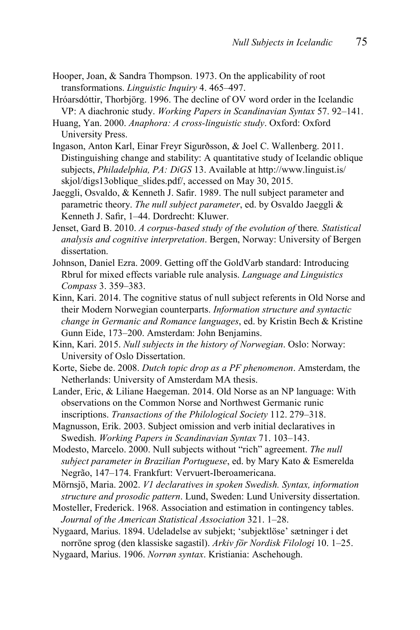- Hooper, Joan, & Sandra Thompson. 1973. On the applicability of root transformations. *Linguistic Inquiry* 4. 465–497.
- Hróarsdóttir, Thorbjörg. 1996. The decline of OV word order in the Icelandic VP: A diachronic study. *Working Papers in Scandinavian Syntax* 57. 92–141.
- Huang, Yan. 2000. *Anaphora: A cross-linguistic study*. Oxford: Oxford University Press.
- Ingason, Anton Karl, Einar Freyr Sigurðsson, & Joel C. Wallenberg. 2011. Distinguishing change and stability: A quantitative study of Icelandic oblique subjects, *Philadelphia, PA: DiGS* 13. Available at http://www.linguist.is/ skjol/digs13oblique\_slides.pdf/, accessed on May 30, 2015.
- Jaeggli, Osvaldo, & Kenneth J. Safir. 1989. The null subject parameter and parametric theory. *The null subject parameter*, ed. by Osvaldo Jaeggli & Kenneth J. Safir, 1–44. Dordrecht: Kluwer.
- Jenset, Gard B. 2010. *A corpus-based study of the evolution of* there*. Statistical analysis and cognitive interpretation*. Bergen, Norway: University of Bergen dissertation.
- Johnson, Daniel Ezra. 2009. Getting off the GoldVarb standard: Introducing Rbrul for mixed effects variable rule analysis. *Language and Linguistics Compass* 3. 359–383.
- Kinn, Kari. 2014. The cognitive status of null subject referents in Old Norse and their Modern Norwegian counterparts. *Information structure and syntactic change in Germanic and Romance languages*, ed. by Kristin Bech & Kristine Gunn Eide, 173–200. Amsterdam: John Benjamins.
- Kinn, Kari. 2015. *Null subjects in the history of Norwegian*. Oslo: Norway: University of Oslo Dissertation.
- Korte, Siebe de. 2008. *Dutch topic drop as a PF phenomenon*. Amsterdam, the Netherlands: University of Amsterdam MA thesis.
- Lander, Eric, & Liliane Haegeman. 2014. Old Norse as an NP language: With observations on the Common Norse and Northwest Germanic runic inscriptions. *Transactions of the Philological Society* 112. 279–318.
- Magnusson, Erik. 2003. Subject omission and verb initial declaratives in Swedish. *Working Papers in Scandinavian Syntax* 71. 103–143.
- Modesto, Marcelo. 2000. Null subjects without "rich" agreement. *The null subject parameter in Brazilian Portuguese*, ed. by Mary Kato & Esmerelda Negrão, 147–174. Frankfurt: Vervuert-Iberoamericana.
- Mörnsjö, Maria. 2002. *V1 declaratives in spoken Swedish. Syntax, information structure and prosodic pattern*. Lund, Sweden: Lund University dissertation.
- Mosteller, Frederick. 1968. Association and estimation in contingency tables. *Journal of the American Statistical Association* 321. 1–28.
- Nygaard, Marius. 1894. Udeladelse av subjekt; 'subjektlöse' sætninger i det norröne sprog (den klassiske sagastil). *Arkiv för Nordisk Filologi* 10. 1–25.
- Nygaard, Marius. 1906. *Norrøn syntax*. Kristiania: Aschehough.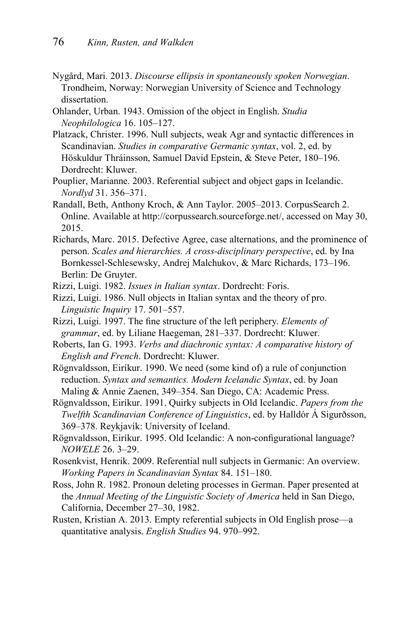- Nygård, Mari. 2013. *Discourse ellipsis in spontaneously spoken Norwegian*. Trondheim, Norway: Norwegian University of Science and Technology dissertation.
- Ohlander, Urban. 1943. Omission of the object in English. *Studia Neophilologica* 16. 105–127.
- Platzack, Christer. 1996. Null subjects, weak Agr and syntactic differences in Scandinavian. *Studies in comparative Germanic syntax*, vol. 2, ed. by Höskuldur Thráinsson, Samuel David Epstein, & Steve Peter, 180–196. Dordrecht: Kluwer.
- Pouplier, Marianne. 2003. Referential subject and object gaps in Icelandic. *Nordlyd* 31. 356–371.
- Randall, Beth, Anthony Kroch, & Ann Taylor. 2005–2013. CorpusSearch 2. Online. Available at http://corpussearch.sourceforge.net/, accessed on May 30, 2015.
- Richards, Marc. 2015. Defective Agree, case alternations, and the prominence of person. *Scales and hierarchies. A cross-disciplinary perspective*, ed. by Ina Bornkessel-Schlesewsky, Andrej Malchukov, & Marc Richards, 173–196. Berlin: De Gruyter.
- Rizzi, Luigi. 1982. *Issues in Italian syntax*. Dordrecht: Foris.
- Rizzi, Luigi. 1986. Null objects in Italian syntax and the theory of pro. *Linguistic Inquiry* 17. 501–557.
- Rizzi, Luigi. 1997. The fine structure of the left periphery. Elements of *grammar*, ed. by Liliane Haegeman, 281–337. Dordrecht: Kluwer.
- Roberts, Ian G. 1993. *Verbs and diachronic syntax: A comparative history of English and French*. Dordrecht: Kluwer.
- Rögnvaldsson, Eiríkur. 1990. We need (some kind of) a rule of conjunction reduction. *Syntax and semantics. Modern Icelandic Syntax*, ed. by Joan Maling & Annie Zaenen, 349–354. San Diego, CA: Academic Press.
- Rögnvaldsson, Eiríkur. 1991. Quirky subjects in Old Icelandic. *Papers from the Twelfth Scandinavian Conference of Linguistics*, ed. by Halldór Á Sigurðsson, 369–378. Reykjavík: University of Iceland.
- Rögnvaldsson, Eiríkur. 1995. Old Icelandic: A non-configurational language? *NOWELE* 26. 3–29.
- Rosenkvist, Henrik. 2009. Referential null subjects in Germanic: An overview. *Working Papers in Scandinavian Syntax* 84. 151–180.
- Ross, John R. 1982. Pronoun deleting processes in German. Paper presented at the *Annual Meeting of the Linguistic Society of America* held in San Diego, California, December 27–30, 1982.
- Rusten, Kristian A. 2013. Empty referential subjects in Old English prose—a quantitative analysis. *English Studies* 94. 970–992.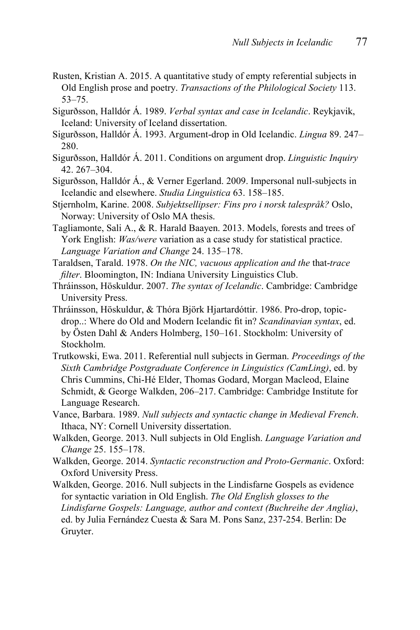- Rusten, Kristian A. 2015. A quantitative study of empty referential subjects in Old English prose and poetry. *Transactions of the Philological Society* 113. 53–75.
- Sigurðsson, Halldór Á. 1989. *Verbal syntax and case in Icelandic*. Reykjavik, Iceland: University of Iceland dissertation.
- Sigurðsson, Halldór Á. 1993. Argument-drop in Old Icelandic. *Lingua* 89. 247– 280.
- Sigurðsson, Halldór Á. 2011. Conditions on argument drop. *Linguistic Inquiry*  42. 267–304.
- Sigurðsson, Halldór Á., & Verner Egerland. 2009. Impersonal null-subjects in Icelandic and elsewhere. *Studia Linguistica* 63. 158–185.
- Stjernholm, Karine. 2008. *Subjektsellipser: Fins pro i norsk talespråk?* Oslo, Norway: University of Oslo MA thesis.
- Tagliamonte, Sali A., & R. Harald Baayen. 2013. Models, forests and trees of York English: *Was/were* variation as a case study for statistical practice. *Language Variation and Change* 24. 135–178.
- Taraldsen, Tarald. 1978. *On the NIC, vacuous application and the* that-*trace filter*. Bloomington, IN: Indiana University Linguistics Club.
- Thráinsson, Höskuldur. 2007. *The syntax of Icelandic*. Cambridge: Cambridge University Press.
- Thráinsson, Höskuldur, & Thóra Björk Hjartardóttir. 1986. Pro-drop, topicdrop..: Where do Old and Modern Icelandic fit in? Scandinavian syntax, ed. by Östen Dahl & Anders Holmberg, 150–161. Stockholm: University of Stockholm.
- Trutkowski, Ewa. 2011. Referential null subjects in German. *Proceedings of the Sixth Cambridge Postgraduate Conference in Linguistics (CamLing)*, ed. by Chris Cummins, Chi-Hé Elder, Thomas Godard, Morgan Macleod, Elaine Schmidt, & George Walkden, 206–217. Cambridge: Cambridge Institute for Language Research.
- Vance, Barbara. 1989. *Null subjects and syntactic change in Medieval French*. Ithaca, NY: Cornell University dissertation.
- Walkden, George. 2013. Null subjects in Old English. *Language Variation and Change* 25. 155–178.
- Walkden, George. 2014. *Syntactic reconstruction and Proto-Germanic*. Oxford: Oxford University Press.
- Walkden, George. 2016. Null subjects in the Lindisfarne Gospels as evidence for syntactic variation in Old English. *The Old English glosses to the Lindisfarne Gospels: Language, author and context (Buchreihe der Anglia)*, ed. by Julia Fernández Cuesta & Sara M. Pons Sanz, 237-254. Berlin: De Gruyter.